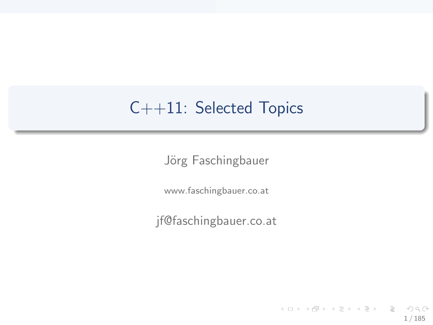# C++11: Selected Topics

Jörg Faschingbauer

www.faschingbauer.co.at

jf@faschingbauer.co.at

イロト イ押 トイモト イモト 一番  $\Omega$ 1 / 185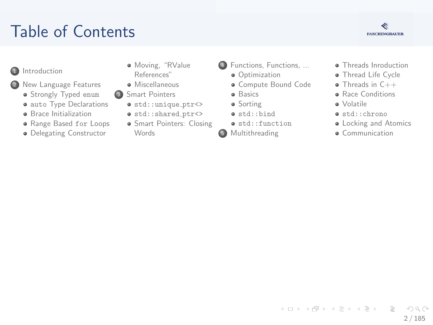# Table of Contents



- **n** Introduction
- 2 New Language Features
	- · Strongly Typed enum
	- · auto Type Declarations
	- **a** Brace Initialization
	- · Range Based for Loops
	- · Delegating Constructor
- · Moving, "RValue References"
- · Miscellaneous
- Smart Pointers
	- $\bullet$  std::unique\_ptr <>
	- · std::shared\_ptr<>
	- · Smart Pointers: Closing **Words**
- 4 Functions, Functions, ...
	- **a** Ontimization
	- · Compute Bound Code
	- **a** Basics
	- · Sorting
	- · std::bind
	- $\bullet$  std::function
- 5 Multithreading
- · Threads Inroduction
- · Thread Life Cycle
- $\bullet$  Threads in  $C++$
- **a** Race Conditions
- · Volatile
- $\bullet$  std:: chrono
- Locking and Atomics
- **a** Communication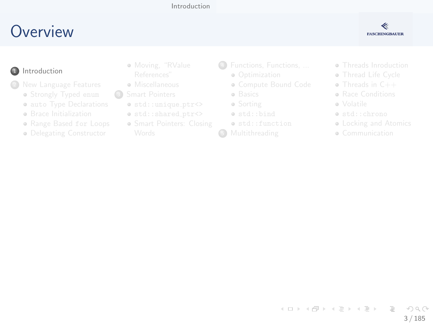#### Introduction

### <span id="page-2-0"></span>Overview



#### **n** Introduction

- - · Strongly Typed enum
	- · auto Type Declarations
	- **e** Brace Initialization
	- · Range Based for Loops
	- · Delegating Constructor
- · Moving, "RValue
- e Miscellaneous
- $\circ$ 
	- $\bullet$  std::unique\_ptr<>
	- o std::shared\_ptr<>
	- · Smart Pointers: Closing
- 4 Functions, Functions, ...
	- a Ontimization
	- · Compute Bound Code
	- · Basics
	- · Sorting
	- · std::bind
	- · std::function
- G
- · Threads Inroduction
- · Thread Life Cycle
- $\bullet$  Threads in  $C++$
- **a** Race Conditions
- a Volatile
- · std::chrono
- Locking and Atomics
- · Communication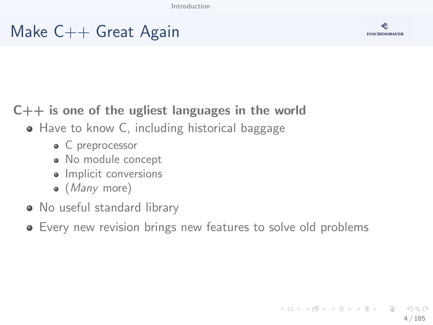[Introduction](#page-2-0)

### Make C++ Great Again



#### $C_{++}$  is one of the ugliest languages in the world

#### • Have to know C, including historical baggage

- C preprocessor
- No module concept
- Implicit conversions
- $\bullet$  (*Many* more)
- No useful standard library
- Every new revision brings new features to solve old problems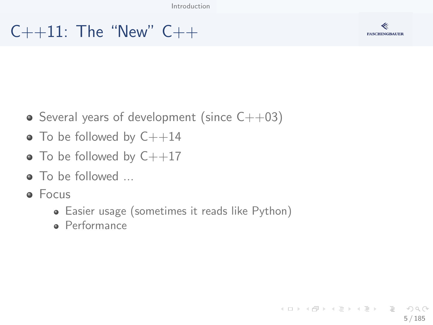# $C_{++}$ 11: The "New"  $C_{++}$



- Several years of development (since  $C++03$ )
- $\bullet$  To be followed by  $C++14$
- $\bullet$  To be followed by  $C++17$
- **a** To be followed
- **•** Focus
	- Easier usage (sometimes it reads like Python)
	- **·** Performance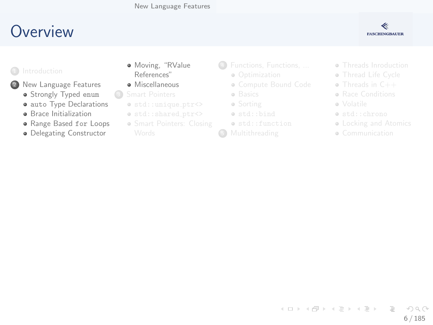## <span id="page-5-0"></span>Overview

#### ≪ **FASCHINGBAUER**

- 2 New Language Features
	- · Strongly Typed enum
	- · auto Type Declarations
	- **a** Brace Initialization
	- · Range Based for Loops
	- · Delegating Constructor
- · Moving, "RValue References"
- · Miscellaneous
- $\circ$ 
	- $\bullet$  std::unique\_ptr<>
	- o std::shared\_ptr<>
	- · Smart Pointers: Closing
- 4 Functions, Functions, ...
	- · Optimization
	- · Compute Bound Code
	- · Basics
	- · Sorting
	- · std::bind
	- · std::function
- G
- · Threads Inroduction
- · Thread Life Cycle
- $\bullet$  Threads in  $C++$
- **a** Race Conditions
- a Volatile
- · std::chrono
- Locking and Atomics
- · Communication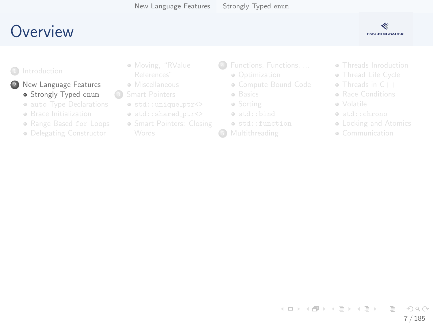### <span id="page-6-0"></span>**O[verview](#page-2-0)**



#### <sup>1</sup> Introduction

#### 2 New [Language Features](#page-11-0) **Str[ongly Typed](#page-14-0) enum**

- **auto Type Declarations**
- **a** Br[ace Initialization](#page-24-0)
- Range Based for Loops
- **·** De[legating Constructor](#page-29-0)
- [Moving](#page-6-0), "RValue
- **A** Miscellaneous
- <sup>3</sup> Smart Pointers
	- $\bullet$  std::unique\_ptr<>
	- $\bullet$  std::shared\_ptr<>
	- **Smart Pointers[: Closing](#page-67-0)**
- <sup>4</sup> [Functions, Funct](#page-49-0)ions, ...
	- Optimization
	- [Compute Bound Code](#page-52-0)
	- **·** [Basics](#page-61-0)
	- Sorting
	- [std::bind](#page-67-0)
	- std::function
- **6** Multithreading
- **Threads Inro[duction](#page-93-0)**
- **Thread Life [Cycle](#page-111-0)**
- Threads in C++
- **Bace Conditi[ons](#page-114-0)**
- Volatile
- std::chron[o](#page-130-0)
- **Locking a[nd Atomics](#page-138-0)**
- **Communication**

イロト イ部 トイモト イモト  $\equiv$  $OQ$ 7 / 185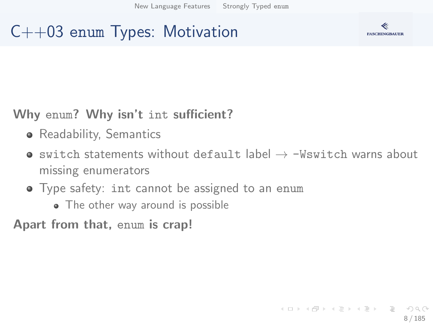# C++03 enum Types: Motivation



#### Why enum? Why isn't int sufficient?

- **•** Readability, Semantics
- switch statements without default label  $\rightarrow$  -Wswitch warns about missing enumerators
- Type safety: int cannot be assigned to an enum
	- The other way around is possible

Apart from that, enum is crap!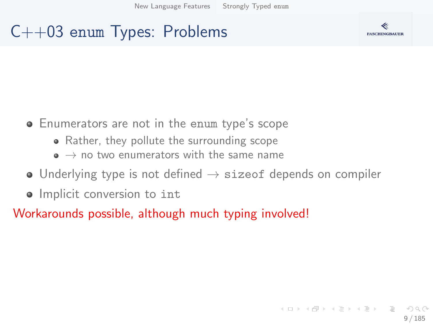# C++03 enum Types: Problems



- Enumerators are not in the enum type's scope
	- Rather, they pollute the surrounding scope
	- $\bullet \rightarrow$  no two enumerators with the same name
- Underlying type is not defined  $\rightarrow$  sizeof depends on compiler
- Implicit conversion to int

Workarounds possible, although much typing involved!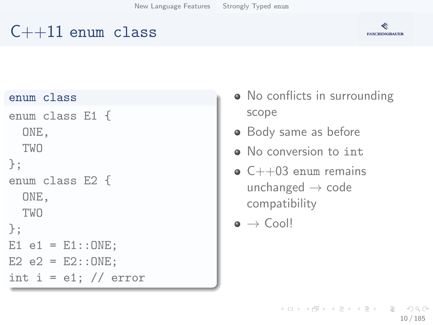# $C++11$  enum class



#### enum class

```
enum class E1 {
  ONE,
  TWO
};
enum class E2 {
  ONE,
  TWO
};
E1 e1 = E1::ONE;
E2 e2 = E2::ONE;
int i = e1; // error
```
- No conflicts in surrounding scope
- Body same as before
- No conversion to int
- $\bullet$  C++03 enum remains unchanged  $\rightarrow$  code compatibility

 $\bullet \to$  Cool!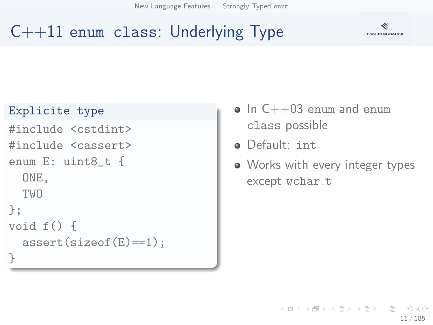[New Language Features](#page-5-0) [Strongly Typed](#page-6-0) enum

# $C++11$  enum class: Underlying Type



#### Explicite type

```
#include <cstdint>
#include <cassert>
enum E: uint8_t {
  ONE,
  TWO
};
void f() {
  assert(sizeof(E)==1);
}
```
- $\bullet$  In  $C++03$  enum and enum class possible
- Default: int
- Works with every integer types except wchar\_t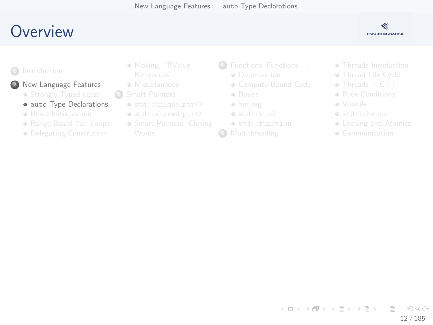# <span id="page-11-0"></span>**O[verview](#page-2-0)**



#### <sup>1</sup> Introduction

#### New [Language Features](#page-11-0)

- **•** Str[ongly Typed](#page-14-0) enum
- **auto** Type Declarations
- **a** Br[ace Initialization](#page-24-0)
- Range Based for Loops
- **·** De[legating Constructor](#page-29-0)
- [Moving](#page-6-0), "RValue
- **A** Miscellaneous
- <sup>3</sup> Smart Pointers
	- $\bullet$  std::unique\_ptr<>
	- $\bullet$  std::shared\_ptr<>
	- **Smart Pointers[: Closing](#page-67-0)**
- <sup>4</sup> [Functions, Funct](#page-49-0)ions, ...
	- Optimization
	- [Compute Bound Code](#page-52-0)
	- **·** [Basics](#page-61-0)
	- Sorting
	- [std::bind](#page-67-0)
	- std::function
- **6** Multithreading
- **Threads Inro[duction](#page-93-0)**
- **Thread Life [Cycle](#page-111-0)**
- Threads in C++
- **Bace Conditi[ons](#page-114-0)**
- Volatile
- std::chron[o](#page-130-0)
- **Locking a[nd Atomics](#page-138-0)**
- **Communication**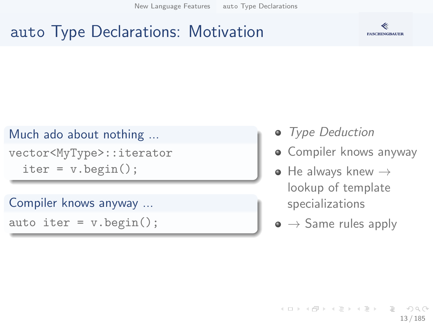[New Language Features](#page-5-0) auto [Type Declarations](#page-11-0)

# auto Type Declarations: Motivation



#### Much ado about nothing ...

vector<MyType>::iterator  $iter = v.\text{begin}()$ ;

#### Compiler knows anyway ...

auto iter =  $v.\text{begin}()$ ;

- Type Deduction
- Compiler knows anyway
- $\bullet$  He always knew  $\rightarrow$ lookup of template specializations
- $\bullet \rightarrow$  Same rules apply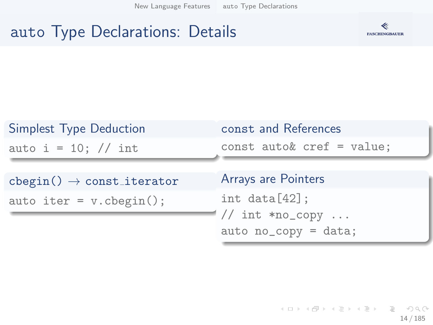[New Language Features](#page-5-0) auto [Type Declarations](#page-11-0)

## auto Type Declarations: Details



| Simplest Type Deduction                | const and References                         |
|----------------------------------------|----------------------------------------------|
| auto i = 10; // int                    | const auto& $cref = value;$                  |
| $cbegin() \rightarrow const\_iterator$ | Arrays are Pointers                          |
| auto iter = $v.\text{cbegin}()$ ;      | int data[42];                                |
|                                        | $1//$ int *no_copy<br>$auto no_copy = data;$ |

K ロ ▶ K 레 ▶ K 코 ▶ K 코 ▶ │ 코 │ ◆ 9,9,0° 14 / 185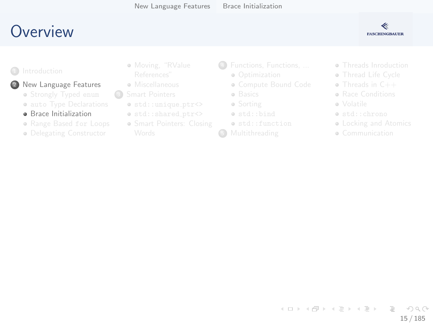## <span id="page-14-0"></span>**O[verview](#page-2-0)**



#### <sup>1</sup> Introduction

#### New [Language Features](#page-11-0)

- **•** Str[ongly Typed](#page-14-0) enum
- **auto Type Declarations**
- **a** Br[ace Initialization](#page-24-0)
- Range Based for Loops
- **·** De[legating Constructor](#page-29-0)
- [Moving](#page-6-0), "RValue
- **A** Miscellaneous
- <sup>3</sup> Smart Pointers
	- $\bullet$  std::unique\_ptr<>
	- $\bullet$  std::shared\_ptr<>
	- **Smart Pointers[: Closing](#page-67-0)**
- <sup>4</sup> [Functions, Funct](#page-49-0)ions, ...
	- Optimization
	- [Compute Bound Code](#page-52-0)
	- **·** [Basics](#page-61-0)
	- Sorting
	- $\bullet$  [std::bind](#page-67-0)
	- std::function
- **6** Multithreading
- **Threads Inro[duction](#page-93-0)**
- **Thread Life [Cycle](#page-111-0)**
- Threads in C++
- **Bace Conditi[ons](#page-114-0)**
- Volatile
- std::chron[o](#page-130-0)
- **Locking a[nd Atomics](#page-138-0)**
- **Communication**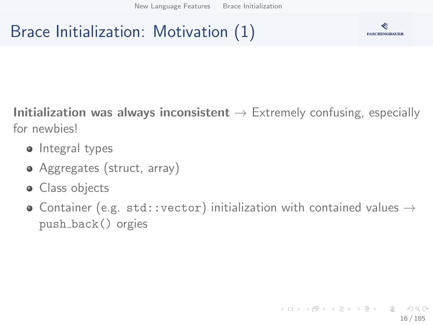# Brace Initialization: Motivation (1)



Initialization was always inconsistent  $\rightarrow$  Extremely confusing, especially for newbies!

- Integral types
- Aggregates (struct, array)
- **·** Class objects
- Container (e.g. std::vector) initialization with contained values  $\rightarrow$ push back() orgies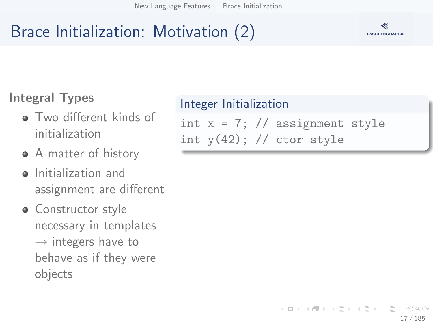# Brace Initialization: Motivation (2)

### Integral Types

- **•** Two different kinds of initialization
- A matter of history
- **o** Initialization and assignment are different
- Constructor style necessary in templates  $\rightarrow$  integers have to behave as if they were objects

#### Integer Initialization

int  $x = 7$ ; // assignment style int  $y(42)$ ; // ctor style

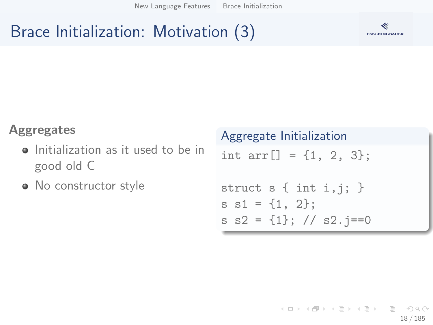# Brace Initialization: Motivation (3)



#### Aggregates

- Initialization as it used to be in good old C
- No constructor style

# Aggregate Initialization int  $arr[] = {1, 2, 3};$ struct  $s \{ int i, j; \}$  $s$   $s1 = \{1, 2\}$ ; s  $s2 = \{1\};$  //  $s2$ .  $j == 0$

K ロ ▶ K 個 ▶ K ヨ ▶ K ヨ ▶ │ ヨ │ め 9,0 18 / 185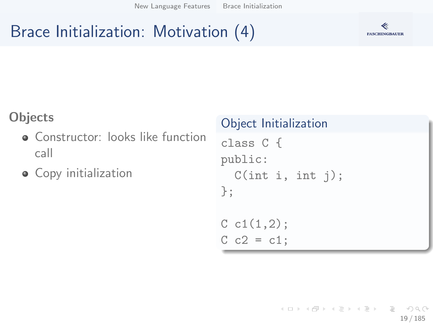# Brace Initialization: Motivation (4)



#### **Objects**

- Constructor: looks like function call
- Copy initialization

#### Object Initialization

class C { public:  $C(int i, int j);$ };

 $C \text{ c1}(1,2);$  $C$   $c2 = c1$ ;

> K ロ ▶ K 個 ▶ K ヨ ▶ K ヨ ▶ │ ヨ │ め 9,0 19 / 185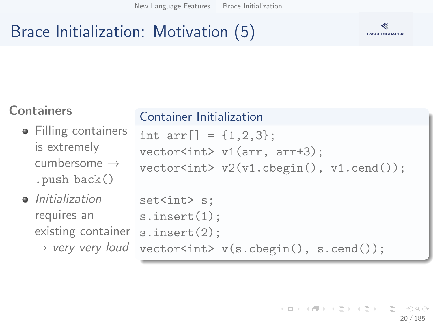## Brace Initialization: Motivation (5)



#### **Containers**

#### **•** Filling containers is extremely cumbersome  $\rightarrow$ .push back()

**•** Initialization requires an existing container  $\rightarrow$  very very loud

#### Container Initialization

```
int arr[] = {1, 2, 3};
vector<int> v1(arr, arr+3);
vector<int> v2(v1.\text{cbegin}(), v1.\text{cend}();
```

```
set<int> s:
s.insert(1);
s.insert(2);
vector<int> v(s.cbegin(), s.cend());
```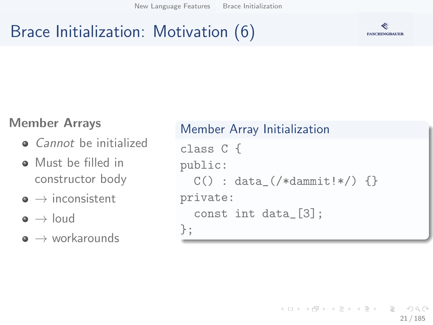# Brace Initialization: Motivation (6)



#### Member Arrays

- *Cannot* be initialized
- **A** Must be filled in constructor body
- $\bullet \rightarrow$  inconsistent
- $\bullet \rightarrow$  loud
- $\bullet \rightarrow$  workarounds

```
Member Array Initialization
class C {
public:
  C() : data_(\frac{\star}{\text{dammit}} : \star) {}
private:
  const int data_[3];
};
```
イロト イ部 トイモト イモト  $\equiv$   $\curvearrowleft$  a  $\curvearrowright$ 21 / 185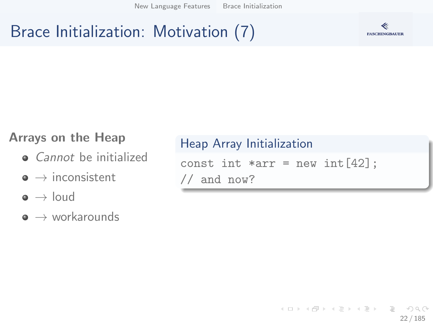## Brace Initialization: Motivation (7)



#### Arrays on the Heap

- **Q** Cannot be initialized
- $\bullet \rightarrow$  inconsistent
- $\bullet \rightarrow$  loud
- $\bullet \rightarrow$  workarounds

#### Heap Array Initialization

```
const int *arr = new int[42];
// and now?
```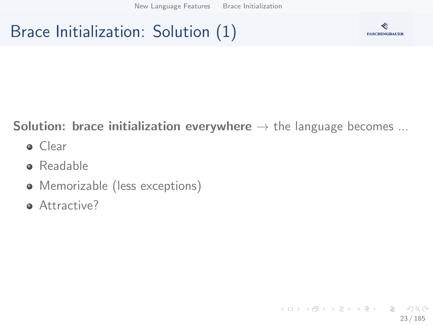# Brace Initialization: Solution (1)



#### **Solution: brace initialization everywhere**  $\rightarrow$  the language becomes ...

- **o** Clear
- **•** Readable
- Memorizable (less exceptions)
- **Attractive?**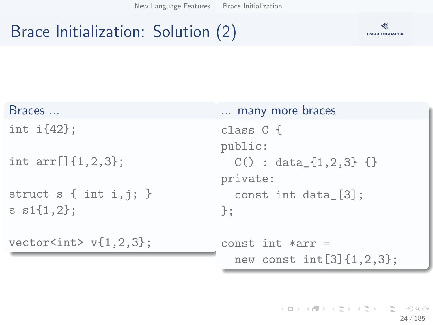# Brace Initialization: Solution (2)



| Braces                                   | many more braces                    |
|------------------------------------------|-------------------------------------|
| int $i\{42\}$ ;                          | class $C\{$<br>public:              |
| int $arr[]$ {1,2,3};                     | $C() : data_{1,2,3}$ {}<br>private: |
| struct $s \{ int i, j; \}$               | const int data $[3]$ ;              |
| $s s1\{1,2\};$                           | $\cdot$                             |
| vector <int><math>v{1,2,3}</math>;</int> | $const$ int $*arr =$                |
|                                          | new const $int[3]{1,2,3};$          |

(ロ) (個) (目) (目) (目) 目 のQ(0) 24 / 185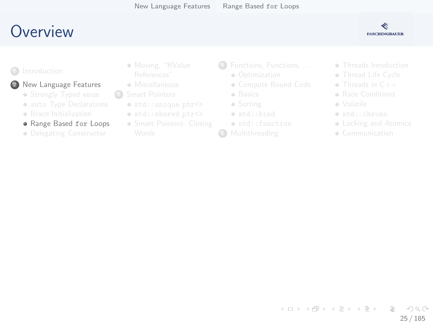## <span id="page-24-0"></span>Overview



#### New Language Features

- · Strongly Typed enum
- · auto Type Declarations
- **e** Brace Initialization
- · Range Based for Loops
- · Delegating Constructor
- · Moving, "RValue
- e Miscellaneous
- $\circ$ 
	- $\bullet$  std::unique\_ptr<>
	- o std::shared\_ptr<>
	- · Smart Pointers: Closing
- 4 Functions, Functions, ...
	- a Ontimization
	- · Compute Bound Code
	- · Basics
	- · Sorting
	- · std::bind
	- o std::function
- G
- · Threads Inroduction
- · Thread Life Cycle
- $\bullet$  Threads in  $C++$
- **a** Race Conditions
- e Volatile
- · std::chrono
- Locking and Atomics
- · Communication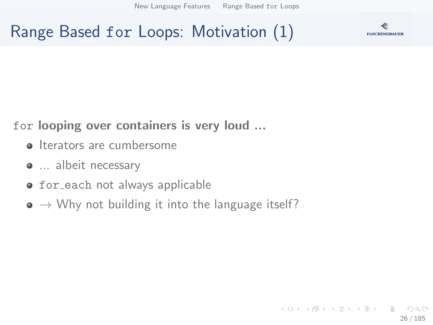[New Language Features](#page-5-0) [Range Based](#page-24-0) for Loops

Range Based for Loops: Motivation (1)



for looping over containers is very loud ...

- **Iterators are cumbersome**
- $\bullet$  ... albeit necessary
- **•** for each not always applicable
- $\bullet \rightarrow$  Why not building it into the language itself?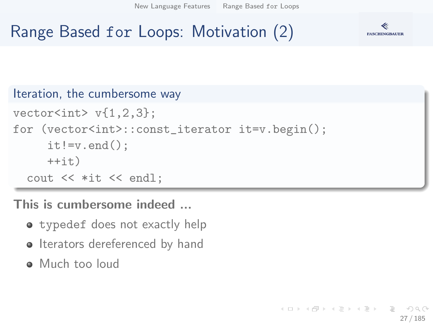[New Language Features](#page-5-0) [Range Based](#page-24-0) for Loops

# Range Based for Loops: Motivation (2)



```
Iteration, the cumbersome way
vectors(int > v{1, 2, 3};for (vector<int>::const_iterator it=v.begin();
     it!=v.end():
     ++it)cout << *it << endl;
```
This is cumbersome indeed ...

- **•** typedef does not exactly help
- Iterators dereferenced by hand
- Much too loud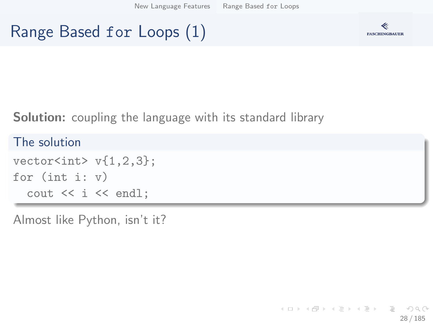[New Language Features](#page-5-0) [Range Based](#page-24-0) for Loops

# Range Based for Loops (1)



Solution: coupling the language with its standard library

The solution  $vectors(int > v{1, 2, 3};$ for (int i: v) cout << i << endl;

Almost like Python, isn't it?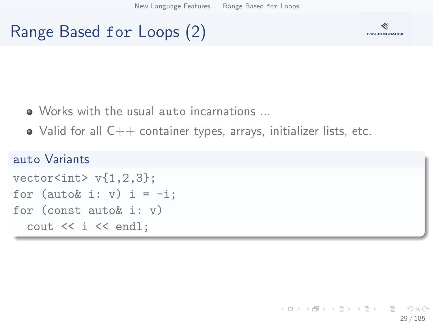# Range Based for Loops (2)



- Works with the usual auto incarnations ...
- $\bullet$  Valid for all  $C++$  container types, arrays, initializer lists, etc.

#### auto Variants

```
vector<int> v{1.2.3}:
for (auto& i: v) i = -i;
for (const auto& i: v)
  \cot < i \lt \sin 1;
```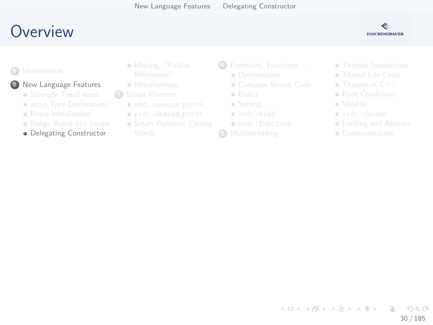## <span id="page-29-0"></span>Overview



#### 2 New Language Features

- · Strongly Typed enum
- · auto Type Declarations
- **e** Brace Initialization
- · Range Based for Loops
- · Delegating Constructor
- · Moving, "RValue
- e Miscellaneous
- $\circ$ 
	- $\bullet$  std::unique\_ptr<>
	- o std::shared\_ptr<>
	- · Smart Pointers: Closing
- 4 Functions, Functions, ...
	- a Ontimization
	- · Compute Bound Code
	- · Basics
	- · Sorting
	- · std::bind
	- o std::function
- G
- · Threads Inroduction
- · Thread Life Cycle
- $\bullet$  Threads in  $C++$
- **a** Race Conditions
- e Volatile
- · std::chrono
- Locking and Atomics
- · Communication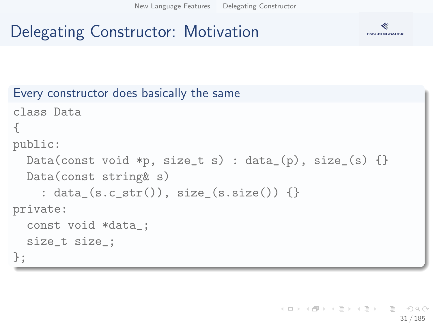# Delegating Constructor: Motivation



```
Every constructor does basically the same
class Data
{
public:
 Data(const void *p, size_t s) : data_(p), size_(s) {}
  Data(const string& s)
    : data (s.c_str()), size (s.size()) \}private:
  const void *data_;
  size_t size_;
};
```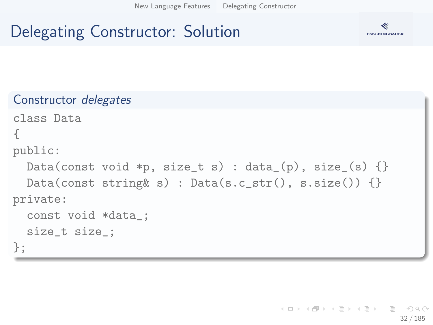[New Language Features](#page-5-0) [Delegating Constructor](#page-29-0)

# Delegating Constructor: Solution



```
Constructor delegates
class Data
{
public:
  Data(const void *p, size_t s) : data_(p), size_(s) \{\}Data(const string k s) : Data(s.c_str(), s.size()) \{\}private:
  const void *data_;
  size_t size_;
};
```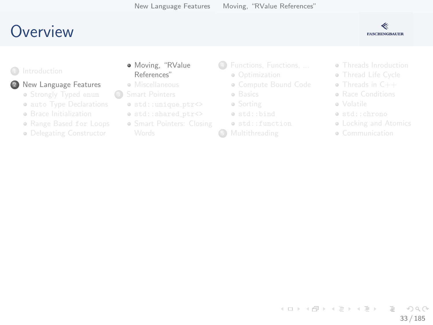## <span id="page-32-0"></span>Overview



#### 2 New Language Features

- · Strongly Typed enum
- · auto Type Declarations
- **e** Brace Initialization
- · Range Based for Loops
- · Delegating Constructor
- · Moving, "RValue References"
- e Miscellaneous
- $\circ$ 
	- $\bullet$  std::unique\_ptr<>
	- o std::shared\_ptr<>
	- · Smart Pointers: Closing
- 4 Functions, Functions, ...
	- a Ontimization
	- · Compute Bound Code
	- · Basics
	- · Sorting
	- · std::bind
	- o std::function
- G
- · Threads Inroduction
- · Thread Life Cycle
- $\bullet$  Threads in  $C++$
- **a** Race Conditions
- e Volatile
- · std::chrono
- Locking and Atomics
- · Communication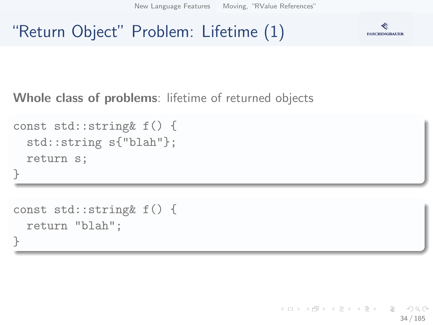[New Language Features](#page-5-0) [Moving, "RValue References"](#page-32-0)

### "Return Object" Problem: Lifetime (1)



Whole class of problems: lifetime of returned objects

```
const std::string& f() {
  std::string s{"blah"};
  return s;
}
```

```
const std::string& f() {
  return "blah";
}
```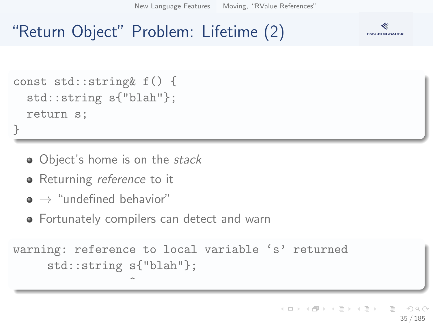[New Language Features](#page-5-0) [Moving, "RValue References"](#page-32-0)

# "Return Object" Problem: Lifetime (2)



```
const std::string& f() {
  std::string s{"blah"};
  return s;
}
```
- Object's home is on the stack
- Returning *reference* to it
- $\bullet \rightarrow$  "undefined behavior"
- Fortunately compilers can detect and warn

 $\hat{ }$ 

```
warning: reference to local variable 's' returned
     std::string s{"blah"};
```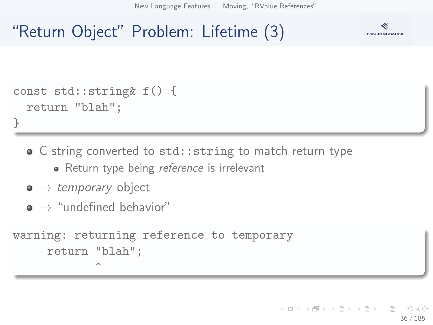[New Language Features](#page-5-0) [Moving, "RValue References"](#page-32-0)

## "Return Object" Problem: Lifetime (3)



```
const std::string& f() {
  return "blah";
}
```
- C string converted to std:: string to match return type
	- Return type being *reference* is irrelevant
- $\bullet \rightarrow$  temporary object
- $\bullet \rightarrow$  "undefined behavior"

 $\hat{ }$ 

```
warning: returning reference to temporary
     return "blah";
```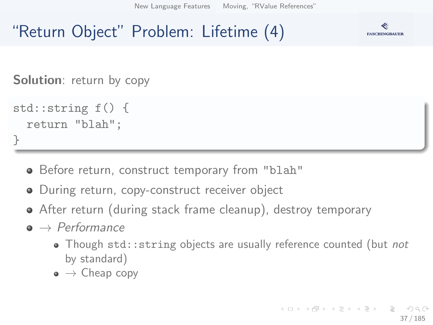[New Language Features](#page-5-0) [Moving, "RValue References"](#page-32-0)

## "Return Object" Problem: Lifetime (4)



**Solution**: return by copy

```
std::string f() {
  return "blah";
}
```
- Before return, construct temporary from "blah"
- During return, copy-construct receiver object
- After return (during stack frame cleanup), destroy temporary
- $\bullet \rightarrow$  Performance
	- Though std:: string objects are usually reference counted (but not by standard)
	- $\bullet \to$  Cheap copy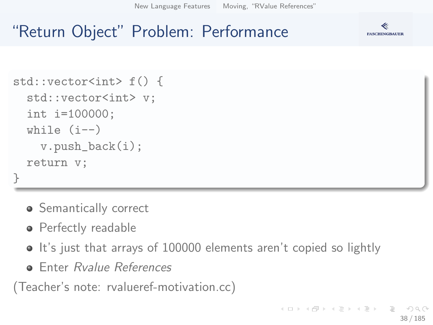[New Language Features](#page-5-0) [Moving, "RValue References"](#page-32-0)

#### **FASCHINGBAUER**

## "Return Object" Problem: Performance

```
std::vector<int> f() {
  std::vector<int> v;
  int i=100000;
  while (i--)v.push_back(i);
  return v;
}
```
- **•** Semantically correct
- Perfectly readable
- It's just that arrays of 100000 elements aren't copied so lightly
- **Enter Ryalue References**

(Teacher's note: rvalueref-motivation.cc)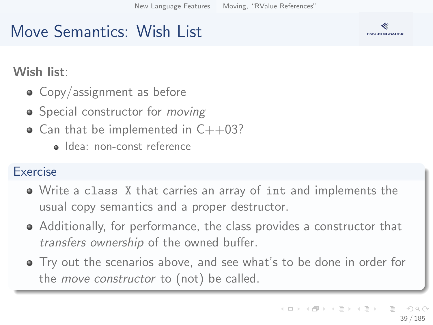## Move Semantics: Wish List

Wish list:

- Copy/assignment as before
- Special constructor for *moving*
- $\bullet$  Can that be implemented in C++03?
	- · Idea: non-const reference

#### Exercise

- Write a class X that carries an array of int and implements the usual copy semantics and a proper destructor.
- Additionally, for performance, the class provides a constructor that transfers ownership of the owned buffer.
- Try out the scenarios above, and see what's to be done in order for the *move constructor* to (not) be called.

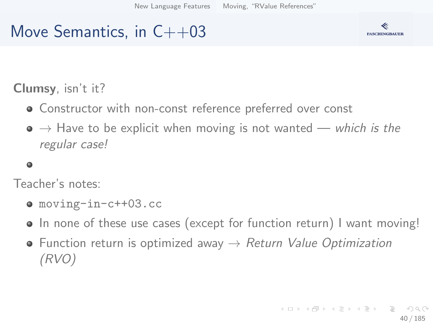## Move Semantics, in  $C++03$



#### Clumsy, isn't it?

- Constructor with non-const reference preferred over const
- $\bullet \rightarrow$  Have to be explicit when moving is not wanted which is the regular case!

#### $\bullet$

Teacher's notes:

- moving-in-c++03.cc
- In none of these use cases (except for function return) I want moving!
- Function return is optimized away  $\rightarrow$  Return Value Optimization (RVO)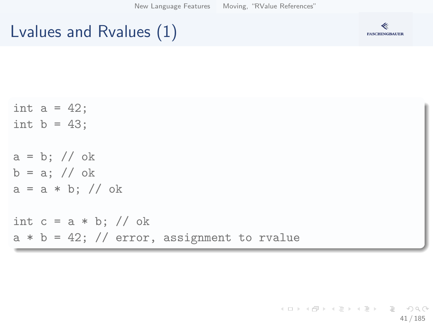[New Language Features](#page-5-0) [Moving, "RValue References"](#page-32-0)

## Lvalues and Rvalues (1)



| int $a = 42$ ;                                |
|-----------------------------------------------|
| int $b = 43$ ;                                |
|                                               |
| $a = b$ ; // ok                               |
| $b = a$ ; // ok                               |
| $a = a * b$ ; // ok                           |
|                                               |
| int $c = a * b$ ; // ok                       |
| $a * b = 42$ ; // error, assignment to rvalue |

(ロ) (個) (ミ) (ミ) (ミ) ミーのQ(V 41 / 185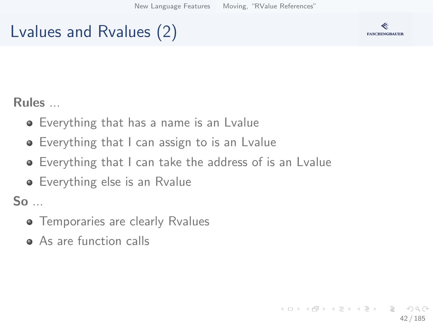## Lvalues and Rvalues (2)



Rules ...

- Everything that has a name is an Lvalue
- Everything that I can assign to is an Lvalue
- Everything that I can take the address of is an Lvalue
- **•** Everything else is an Rvalue

So ...

- **•** Temporaries are clearly Rvalues
- As are function calls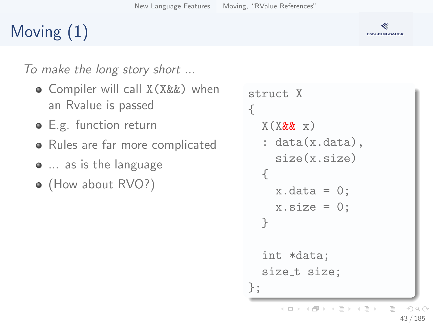# Moving (1)

To make the long story short ...

- Compiler will call X(X&&) when an Rvalue is passed
- **E.g.** function return
- Rules are far more complicated
- $\bullet$  ... as is the language
- (How about RVO?)

```
struct X
{
  X(X\&& x): data(x.data),
    size(x.size)
  {
    x.data = 0;
    x.size = 0;
  }
  int *data;
  size_t size;
};
     イロメ イ押 トイヨメ イヨメ
                          OQ43 / 185
```
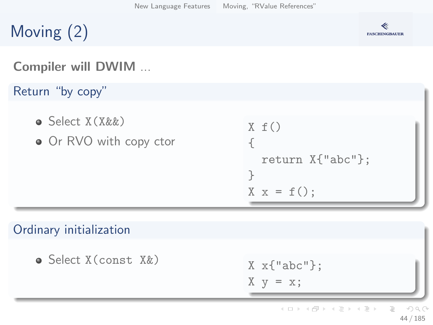# Moving (2)

### **FASCHINGBAUER**

#### Compiler will DWIM ...

Return "by copy"

- Select X(X&&)
- Or RVO with copy ctor

```
X f(){
  return X{"abc"};
}
X \times = f();
```
#### Ordinary initialization

 $\bullet$  Select X(const. X&)

$$
X x{"abc"};
$$

$$
X y = x;
$$

イロメ イ押 トイヨメ イヨメ  $\equiv$  $OQ$ 44 / 185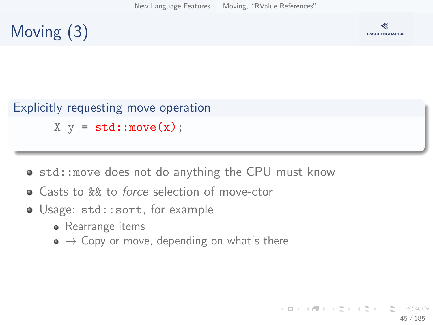## Moving (3)



#### Explicitly requesting move operation  $X \ y = std:move(x);$

- std:: move does not do anything the CPU must know
- **•** Casts to *kk* to *force* selection of move-ctor
- Usage: std::sort, for example
	- Rearrange items
	- $\bullet \rightarrow$  Copy or move, depending on what's there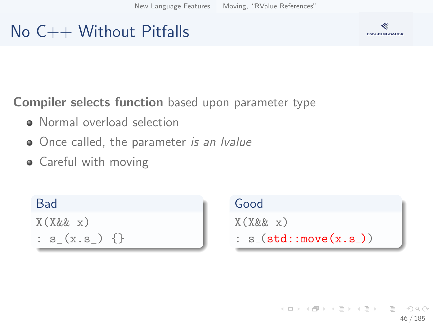## No C++ Without Pitfalls

Compiler selects function based upon parameter type

- Normal overload selection
- Once called, the parameter is an Ivalue
- Careful with moving

Bad X(X&& x) :  $s_{(x.s_{})}$  {}

Good  $X(X\&&\ x)$  $: s_{-}(\text{std}:move(x, s_{-}))$ 

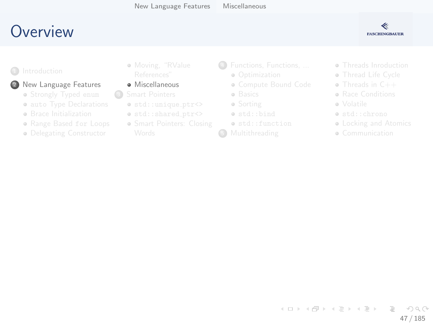## <span id="page-46-0"></span>Overview

#### ≪ **FASCHINGBAUER**

#### 2 New Language Features

- · Strongly Typed enum
- · auto Type Declarations
- **e** Brace Initialization
- · Range Based for Loops
- · Delegating Constructor
- · Moving, "RValue
- · Miscellaneous
- $\odot$ 
	- $\bullet$  std::unique\_ptr<>
	- o std::shared\_ptr<>
	- · Smart Pointers: Closing
- 4 Functions, Functions, ...
	- a Ontimization
	- · Compute Bound Code
	- · Basics
	- · Sorting
	- · std::bind
	- o std::function
- G
- · Threads Inroduction
- · Thread Life Cycle
- $\bullet$  Threads in  $C++$
- **a** Race Conditions
- a Volatile
- · std::chrono
- Locking and Atomics
- · Communication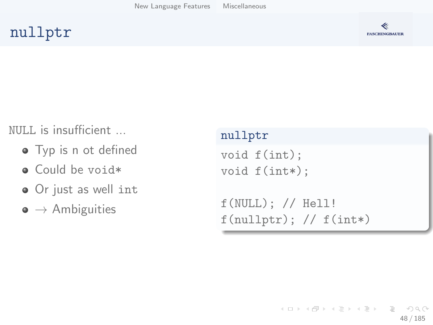#### nullptr



#### NULL is insufficient ...

- Typ is n ot defined
- Could be void\*
- Or just as well int
- $\bullet \rightarrow$  Ambiguities

#### nullptr

```
void f(int);
void f(int*);
```

```
f(NULL); // Hell!
f(\text{nullptr}); // f(\text{int*})
```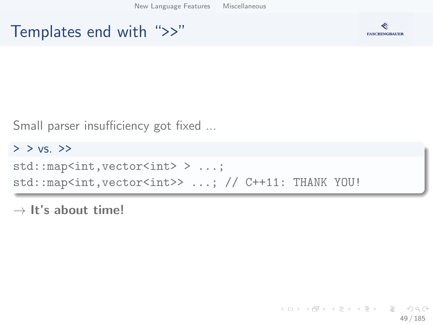[New Language Features](#page-5-0) [Miscellaneous](#page-46-0)

#### Templates end with ">>"



Small parser insufficiency got fixed ...

 $>$   $>$  vs.  $>$ >> std::map<int,vector<int> > ...; std::map<int,vector<int>> ...; // C++11: THANK YOU!

 $\rightarrow$  It's about time!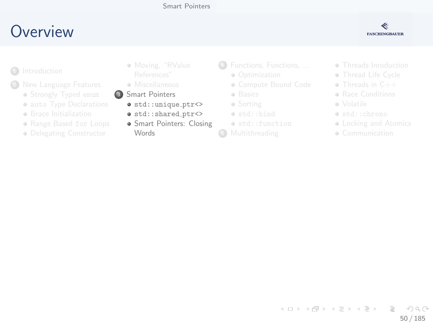#### Smart Pointers

## <span id="page-49-0"></span>Overview



- $\Box$ 
	- - · Strongly Typed enum
		- · auto Type Declarations
		- **e** Brace Initialization
		- · Range Based for Loops
		- · Delegating Constructor
- · Moving, "RValue
- e Miscellaneous
- 3 Smart Pointers
	- $\bullet$  std::unique\_ptr <>
	- · std::shared\_ptr<>
	- · Smart Pointers: Closing **Words**
- 4 Functions, Functions, ...
	- a Ontimization
	- · Compute Bound Code
	- · Basics
	- · Sorting
	- · std::bind
	- e std::function
- **6** Multithreading
- · Threads Inroduction
- · Thread Life Cycle
- $\bullet$  Threads in  $C++$
- **a** Race Conditions
- a Volatile
- · std::chrono
- Locking and Atomics
- · Communication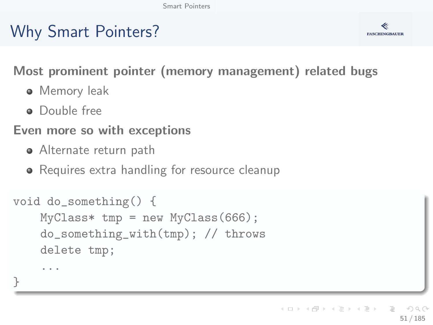# Why Smart Pointers?



Most prominent pointer (memory management) related bugs

- **•** Memory leak
- **•** Double free

...

}

#### Even more so with exceptions

- Alternate return path
- Requires extra handling for resource cleanup

```
void do_something() {
    MvClass* tmp = new MvClass(666);
    do_something_with(tmp); // throws
    delete tmp;
```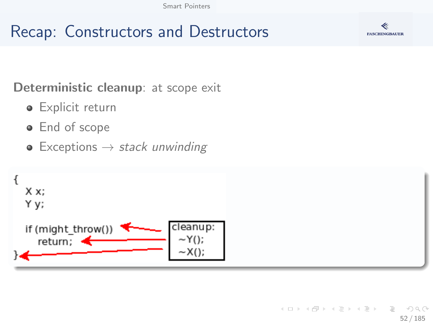## Recap: Constructors and Destructors



Deterministic cleanup: at scope exit

- **•** Explicit return
- End of scope
- Exceptions  $\rightarrow$  stack unwinding

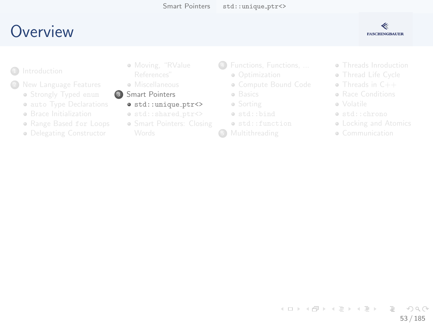## <span id="page-52-0"></span>Overview



- $\bigcirc$ 
	- - · Strongly Typed enum
		- · auto Type Declarations
		- **e** Brace Initialization
		- · Range Based for Loops
		- · Delegating Constructor
- · Moving, "RValue
- · Miscellaneous
- 3 Smart Pointers
	- $\bullet$  std::unique\_ptr <>
	- o std::shared\_ptr<>
	- · Smart Pointers: Closing
- 4 Functions, Functions, ...
	- a Ontimization
	- · Compute Bound Code
	- · Basics
	- · Sorting
	- · std::bind
	- o std::function
- G
- · Threads Inroduction
- · Thread Life Cycle
- $\bullet$  Threads in  $C++$
- **a** Race Conditions
- a Volatile
- · std::chrono
- Locking and Atomics
- · Communication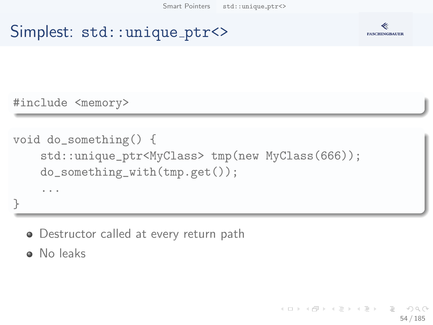### Simplest: std::unique\_ptr<>



#include <memory>

```
void do_something() {
    std::unique_ptr<MyClass> tmp(new MyClass(666));
    do_something_with(tmp.get());
    ...
}
```
• Destructor called at every return path

• No leaks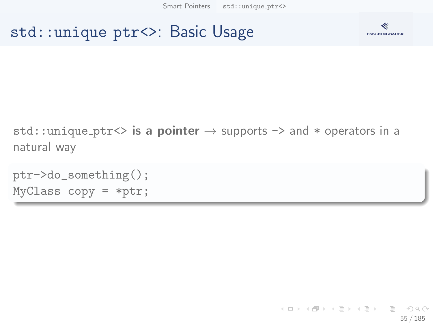#### std::unique ptr<>: Basic Usage



std::unique\_ptr<> is a pointer  $\rightarrow$  supports -> and  $*$  operators in a natural way

```
ptr->do_something();
MyClass copy = *ptr;
```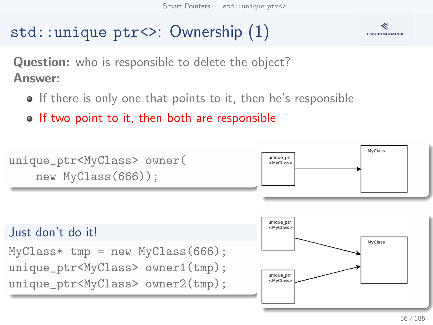## std::unique ptr<>: Ownership (1)



Question: who is responsible to delete the object? Answer:

- **If there is only one that points to it, then he's responsible**
- o If two point to it, then both are responsible

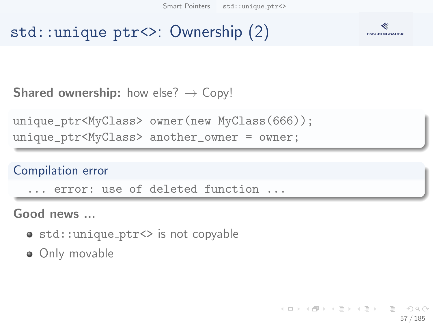## std::unique ptr<>: Ownership (2)



**Shared ownership:** how else?  $\rightarrow$  Copy!

```
unique_ptr<MyClass> owner(new MyClass(666));
unique_ptr<MyClass> another_owner = owner;
```
#### Compilation error

... error: use of deleted function ...

Good news ...

- std:: unique\_ptr<> is not copyable
- Only movable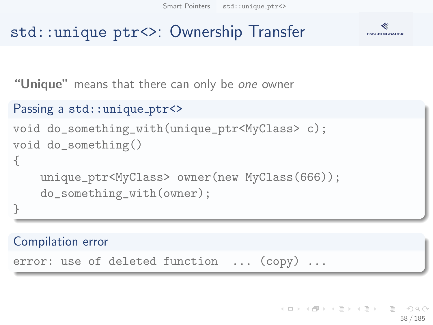#### **FASCHINGBAUER**

## std::unique ptr<>: Ownership Transfer

"Unique" means that there can only be one owner

```
Passing a std:: unique_ptr<>
void do_something_with(unique_ptr<MyClass> c);
void do_something()
{
    unique_ptr<MyClass> owner(new MyClass(666));
    do_something_with(owner);
}
```
Compilation error

error: use of deleted function ... (copy) ...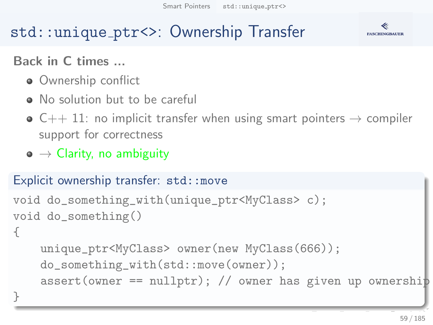## std::unique ptr<>: Ownership Transfer



#### Back in C times ...

- Ownership conflict
- No solution but to be careful
- $\bullet$  C++ 11: no implicit transfer when using smart pointers  $\rightarrow$  compiler support for correctness
- $\bullet \to$  Clarity, no ambiguity

#### Explicit ownership transfer: std::move

```
void do_something_with(unique_ptr<MyClass> c);
void do_something()
```
{

}

```
unique_ptr<MyClass> owner(new MyClass(666));
do_something_with(std::move(owner));
assert(owner == nullptr); // owner has given up ownership
```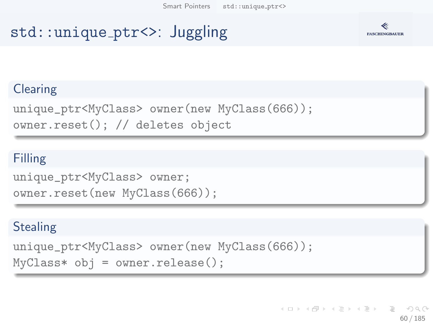## std::unique ptr<>: Juggling



#### **Clearing**

unique\_ptr<MyClass> owner(new MyClass(666)); owner.reset(); // deletes object

#### Filling

```
unique_ptr<MyClass> owner;
owner.reset(new MyClass(666));
```
#### **Stealing**

```
unique_ptr<MyClass> owner(new MyClass(666));
MyClass* obj = owner.release();
```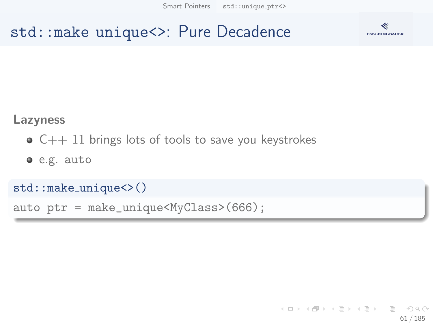[Smart Pointers](#page-49-0) [std::unique](#page-52-0)\_ptr<>

#### std::make unique<>: Pure Decadence



#### Lazyness

- $\bullet$  C++ 11 brings lots of tools to save you keystrokes
- e.g. auto

```
std::make unique<>()
```

```
auto ptr = make_unique<MyClass>(666);
```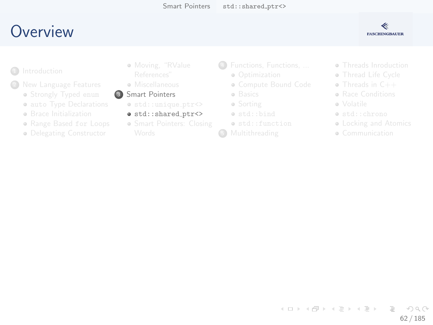## <span id="page-61-0"></span>Overview



- $\Box$ 
	- - · Strongly Typed enum
		- · auto Type Declarations
		- **e** Brace Initialization
		- · Range Based for Loops
		- · Delegating Constructor
- · Moving, "RValue
- · Miscellaneous
- Smart Pointers
	- $\bullet$  std::unique\_ptr<>
	- · std::shared\_ptr<>
	- · Smart Pointers: Closing
- 4 Functions, Functions, ...
	- a Ontimization
	- · Compute Bound Code
	- · Basics
	- · Sorting
	- · std::bind
	- o std::function
- G
- · Threads Inroduction
- · Thread Life Cycle
- $\bullet$  Threads in  $C++$
- **a** Race Conditions
- a Volatile
- · std::chrono
- Locking and Atomics
- · Communication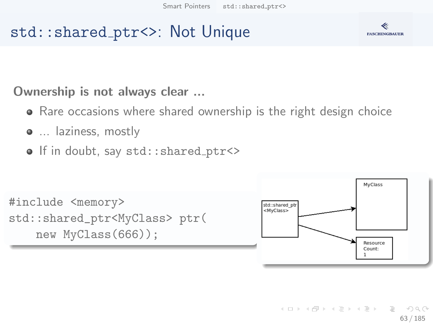## std::shared ptr<>: Not Unique



Ownership is not always clear ...

- Rare occasions where shared ownership is the right design choice
- $\bullet$  ... laziness, mostly
- o If in doubt, say std:: shared\_ptr<>

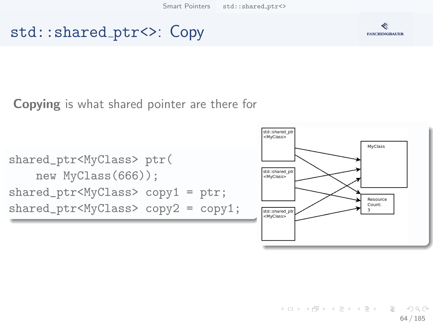[Smart Pointers](#page-49-0) [std::shared](#page-61-0)\_ptr<>

#### std::shared ptr<>: Copy

#### Copying is what shared pointer are there for







イロト イ部 トイヨト イヨト 一君  $OQ$ 64 / 185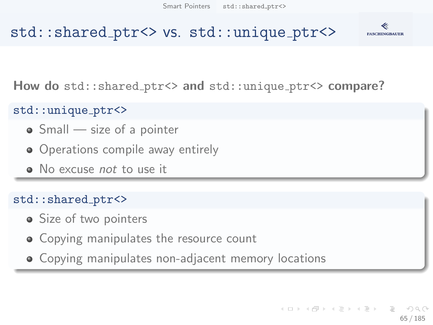

#### std::shared\_ptr<> vs. std::unique\_ptr<>

How do std::shared\_ptr<> and std::unique\_ptr<> compare?

#### std::unique ptr<>

- Small size of a pointer
- Operations compile away entirely
- No excuse *not* to use it

#### std::shared\_ptr<>

- Size of two pointers
- **Copying manipulates the resource count**
- Copying manipulates non-adjacent memory locations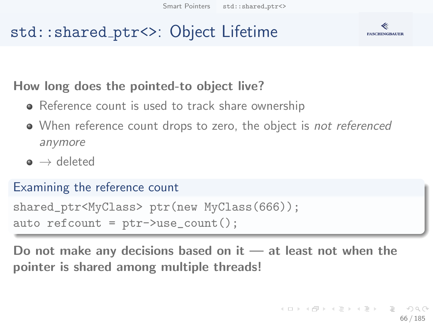## std::shared ptr<>: Object Lifetime



#### How long does the pointed-to object live?

- Reference count is used to track share ownership
- When reference count drops to zero, the object is not referenced anymore
- $\bullet \rightarrow$  deleted

#### Examining the reference count

```
shared_ptr<MyClass> ptr(new MyClass(666));
auto refcount = ptr->use_count();
```
Do not make any decisions based on it — at least not when the pointer is shared among multiple threads!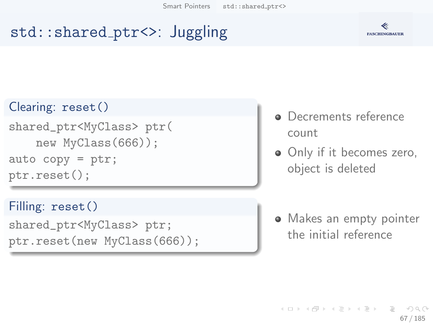## std::shared ptr<>: Juggling



#### Clearing: reset()

shared\_ptr<MyClass> ptr( new MyClass(666)); auto  $copy =  $ptr$ ;$ ptr.reset();

Filling: reset()

```
shared_ptr<MyClass> ptr;
ptr.reset(new MyClass(666));
```
- Decrements reference count
- Only if it becomes zero, object is deleted

• Makes an empty pointer the initial reference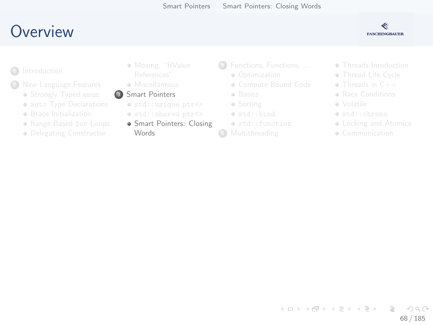## <span id="page-67-0"></span>Overview



- 
- - · Strongly Typed enum
	- · auto Type Declarations
	- **e** Brace Initialization
	- · Range Based for Loops
	- · Delegating Constructor
- · Moving, "RValue
- e Miscellaneous
- Smart Pointers
	- $\bullet$  std::unique\_ptr<>
	- o std::shared\_ptr<>
	- · Smart Pointers: Closing **Words**
- 4 Functions, Functions, ...
	- a Ontimization
	- · Compute Bound Code
	- · Basics
	- · Sorting
	- · std::bind
	- o std::function
- **6** Multithreading
- · Threads Inroduction
- · Thread Life Cycle
- $\bullet$  Threads in  $C++$
- **a** Race Conditions
- a Volatile
- · std::chrono
- Locking and Atomics
- · Communication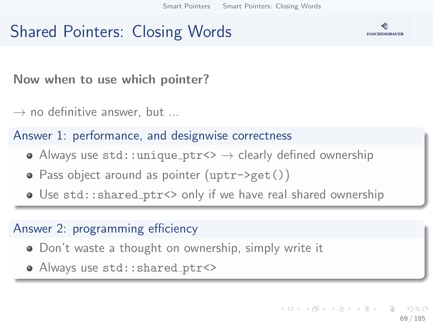## Shared Pointers: Closing Words



Now when to use which pointer?

 $\rightarrow$  no definitive answer, but ...

#### Answer 1: performance, and designwise correctness

- Always use  $\text{std}:\text{unique\_ptr}\leftrightarrow\text{clearly defined ownership}$
- Pass object around as pointer (uptr->get())
- Use std::shared ptr<> only if we have real shared ownership

#### Answer 2: programming efficiency

- Don't waste a thought on ownership, simply write it
- Always use std:: shared\_ptr<>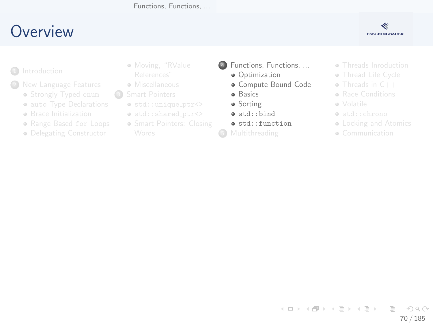Functions, Functions, ...

## <span id="page-69-0"></span>Overview



- - · Strongly Typed enum
	- · auto Type Declarations
	- **e** Brace Initialization
	- · Range Based for Loops
	- · Delegating Constructor
- · Moving, "RValue
- e Miscellaneous
- $\circ$ 
	- $\bullet$  std::unique\_ptr<>
	- o std::shared\_ptr<>
	- · Smart Pointers: Closing
- 4 Functions, Functions, ...
	- **a** Ontimization
	- · Compute Bound Code
	- **a** Basics
	- · Sorting
	- · std::bind
	- o std::function
- **6** Multithreading
- · Threads Inroduction
- · Thread Life Cycle
- $\bullet$  Threads in  $C++$
- **a** Race Conditions
- a Volatile
- · std::chrono
- Locking and Atomics
- · Communication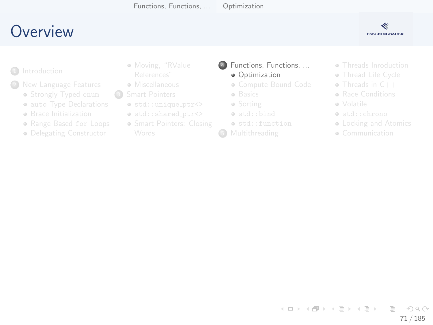Functions, Functions, ...

Optimization

## <span id="page-70-0"></span>Overview



- 
- - · Strongly Typed enum
	- · auto Type Declarations
	- **e** Brace Initialization
	- · Range Based for Loops
	- · Delegating Constructor
- · Moving, "RValue
- e Miscellaneous
- $\circ$ 
	- $\bullet$  std::unique\_ptr<>
	- o std::shared\_ptr<>
	- · Smart Pointers: Closing
- 4 Functions, Functions, ... **a** Ontimization
	- · Compute Bound Code
	- · Basics
	- · Sorting
	- · std::bind
	- · std::function
- G
- · Threads Inroduction
- · Thread Life Cycle
- $\bullet$  Threads in  $C++$
- **a** Race Conditions
- a Volatile
- · std::chrono
- Locking and Atomics
- · Communication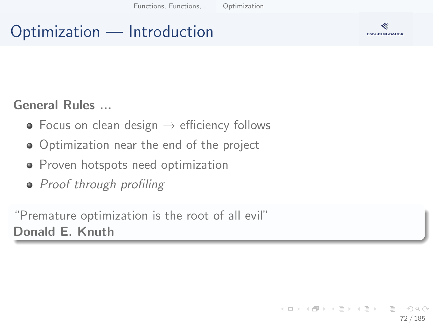[Functions, Functions, ...](#page-69-0) [Optimization](#page-70-0)

## Optimization — Introduction



#### General Rules ...

- Focus on clean design  $\rightarrow$  efficiency follows
- Optimization near the end of the project
- **•** Proven hotspots need optimization
- Proof through profiling

"Premature optimization is the root of all evil" Donald E. Knuth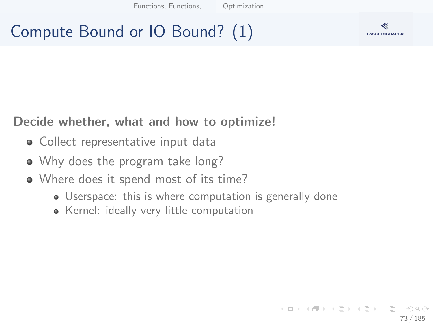[Functions, Functions, ...](#page-69-0) [Optimization](#page-70-0)

## Compute Bound or IO Bound? (1)



#### Decide whether, what and how to optimize!

- Collect representative input data
- Why does the program take long?
- Where does it spend most of its time?
	- Userspace: this is where computation is generally done
	- Kernel: ideally very little computation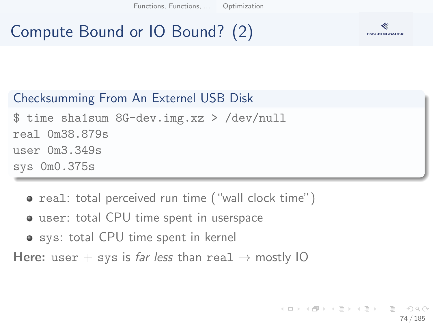[Functions, Functions, ...](#page-69-0) [Optimization](#page-70-0)

# Compute Bound or IO Bound? (2)



#### Checksumming From An Externel USB Disk

\$ time sha1sum 8G-dev.img.xz > /dev/null real 0m38.879s user 0m3.349s sys 0m0.375s

- real: total perceived run time ("wall clock time")
- user: total CPU time spent in userspace
- **o** sys: total CPU time spent in kernel

Here: user + sys is far less than real  $\rightarrow$  mostly IO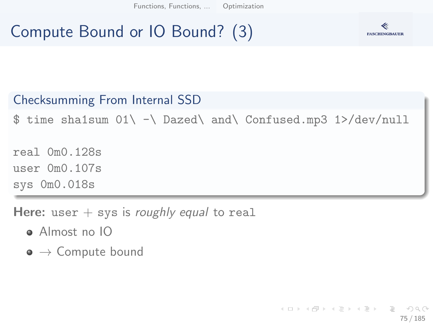[Functions, Functions, ...](#page-69-0) [Optimization](#page-70-0)

# Compute Bound or IO Bound? (3)



#### Checksumming From Internal SSD

 $$ time shalsum 01\ -\ Dared\ and\ Confused.mp3 1>/dev/null$ 

real 0m0.128s user 0m0.107s sys 0m0.018s

Here: user  $+$  sys is roughly equal to real

- Almost no IO
- $\bullet \to$  Compute bound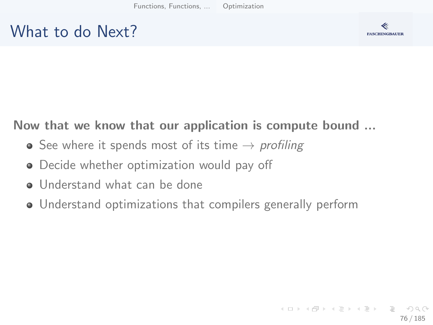## What to do Next?



### Now that we know that our application is compute bound ...

- See where it spends most of its time  $\rightarrow$  profiling
- **•** Decide whether optimization would pay off
- Understand what can be done
- Understand optimizations that compilers generally perform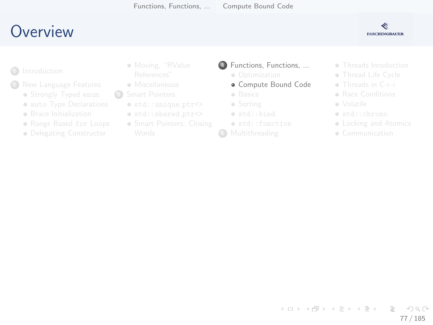## <span id="page-76-0"></span>**O[verview](#page-2-0)**

#### ≪ **FASCHINGBAUER**

- **1** Introduction
- - **•** Str[ongly Typed](#page-14-0) enum
	- **auto Type Declarations**
	- **a** Br[ace Initialization](#page-24-0)
	- Range Based for Loops
	- **·** De[legating Constructor](#page-29-0)
- [Moving](#page-6-0), "RValue
- **A** Miscellaneous
- <sup>3</sup> Smart Pointers
	- $\bullet$  std::unique\_ptr<>
	- $\bullet$  std::shared\_ptr<>
	- **Smart Pointers[: Closing](#page-67-0)**
- <sup>4</sup> [Functions, Funct](#page-49-0)ions, ...
	- Optimization
	- [Compute Bound Code](#page-52-0)
	- a [Basics](#page-61-0)
	- Sorting
	- [std::bind](#page-67-0)
	- std::function
- **6** Multithreading
- **Threads Inro[duction](#page-93-0)**
- **a** Thread Life [Cycle](#page-111-0)
- Threads in C++
- **Bace Conditi[ons](#page-114-0)**
- Volatile
- std::chron[o](#page-130-0)
- **Locking a[nd Atomics](#page-138-0)**
- **Communication**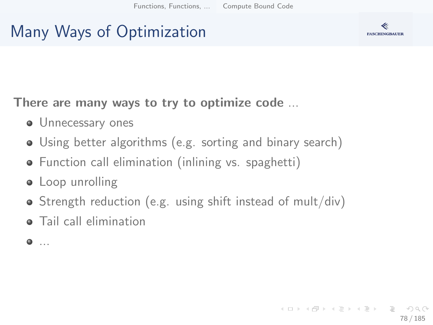# Many Ways of Optimization



There are many ways to try to optimize code ...

- **Unnecessary ones**
- Using better algorithms (e.g. sorting and binary search)
- Function call elimination (inlining vs. spaghetti)
- Loop unrolling
- Strength reduction (e.g. using shift instead of mult/div)
- **•** Tail call elimination
- $\bullet$  ...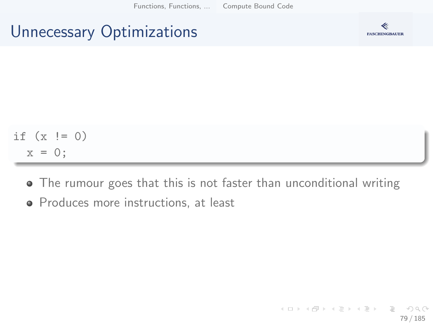## Unnecessary Optimizations



$$
\begin{array}{rcl}\n\text{if } (x := 0) \\
x = 0; \n\end{array}
$$

- The rumour goes that this is not faster than unconditional writing
- Produces more instructions, at least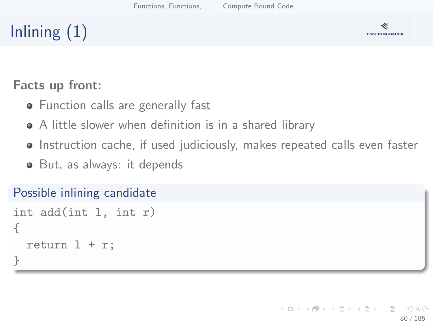# Inlining  $(1)$



#### Facts up front:

- Function calls are generally fast
- A little slower when definition is in a shared library
- Instruction cache, if used judiciously, makes repeated calls even faster
- But, as always: it depends

#### Possible inlining candidate

```
int add(int l, int r)
{
  return 1 + r;
}
```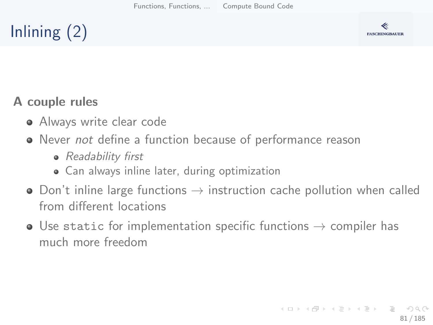# Inlining (2)



### A couple rules

- **Always write clear code**
- Never not define a function because of performance reason
	- Readability first
	- Can always inline later, during optimization
- Don't inline large functions  $\rightarrow$  instruction cache pollution when called from different locations
- Use static for implementation specific functions  $\rightarrow$  compiler has much more freedom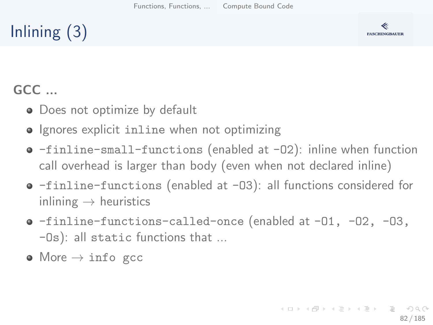# Inlining (3)



### GCC ...

- Does not optimize by default
- Ignores explicit inline when not optimizing
- -finline-small-functions (enabled at -O2): inline when function call overhead is larger than body (even when not declared inline)
- -finline-functions (enabled at -O3): all functions considered for inlining  $\rightarrow$  heuristics
- -finline-functions-called-once (enabled at -O1, -O2, -O3, -Os): all static functions that ...
- $\bullet$  More  $\rightarrow$  info gcc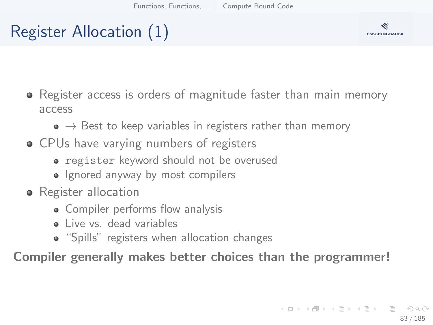# Register Allocation (1)



- Register access is orders of magnitude faster than main memory access
	- $\bullet \rightarrow$  Best to keep variables in registers rather than memory
- CPUs have varying numbers of registers
	- register keyword should not be overused
	- Ignored anyway by most compilers
- Register allocation
	- Compiler performs flow analysis
	- Live vs. dead variables
	- "Spills" registers when allocation changes

Compiler generally makes better choices than the programmer!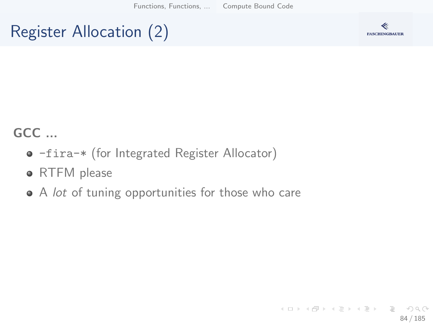# Register Allocation (2)



### GCC ...

- -fira-\* (for Integrated Register Allocator)
- RTFM please
- A lot of tuning opportunities for those who care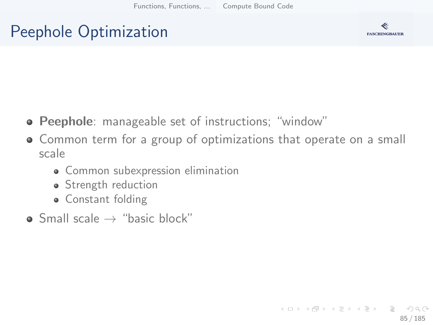# Peephole Optimization



- Peephole: manageable set of instructions; "window"
- Common term for a group of optimizations that operate on a small scale
	- Common subexpression elimination
	- Strength reduction
	- **Constant folding**
- $\bullet$  Small scale  $\rightarrow$  "basic block"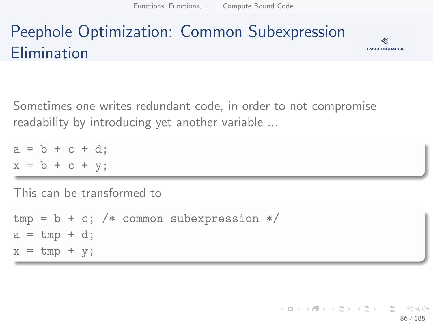# Peephole Optimization: Common Subexpression Elimination



Sometimes one writes redundant code, in order to not compromise readability by introducing yet another variable ...

 $a = b + c + d$ ;  $x = b + c + y;$ 

This can be transformed to

 $tmp = b + c$ ; /\* common subexpression \*/  $a = \text{tmp} + d$ ;  $x = tmp + y;$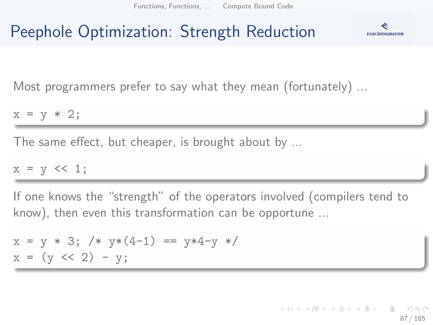## Peephole Optimization: Strength Reduction



Most programmers prefer to say what they mean (fortunately) ...

 $x = y * 2;$ 

The same effect, but cheaper, is brought about by ...

 $x = y \iff 1;$ 

If one knows the "strength" of the operators involved (compilers tend to know), then even this transformation can be opportune ...

$$
x = y * 3
$$
; /\*  $y * (4-1) == y * 4-y */$   
 $x = (y << 2) - y$ ;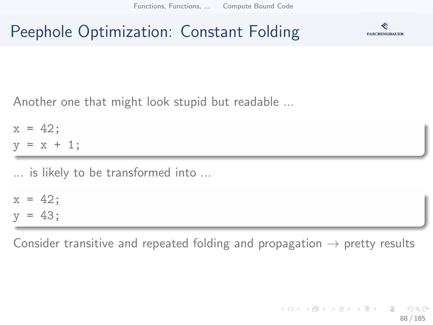## Peephole Optimization: Constant Folding



Another one that might look stupid but readable ...

 $x = 42$ :  $y = x + 1;$ 

... is likely to be transformed into ...

 $x = 42$ ;  $y = 43$ ;

Consider transitive and repeated folding and propagation  $\rightarrow$  pretty results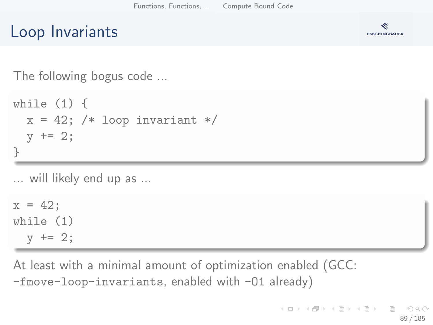## Loop Invariants



The following bogus code ...

```
while (1) {
 x = 42; /* loop invariant */
  y += 2;
}
```
... will likely end up as ...

 $x = 42;$ while (1)  $y$  += 2;

At least with a minimal amount of optimization enabled (GCC: -fmove-loop-invariants, enabled with -O1 already)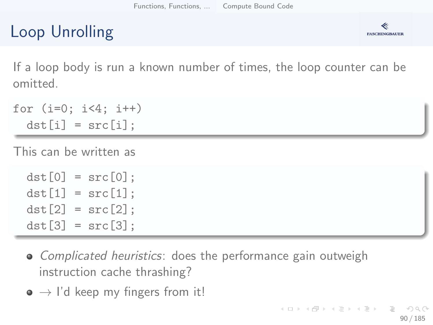# Loop Unrolling



If a loop body is run a known number of times, the loop counter can be omitted.

```
for (i=0; i<4; i++)dst[i] = src[i];
```
This can be written as

```
dst[0] = src[0]:
dst[1] = src[1]:
dst[2] = src[2]:
dst[3] = src[3]:
```
- Complicated heuristics: does the performance gain outweigh instruction cache thrashing?
- $\bullet \rightarrow$  I'd keep my fingers from it!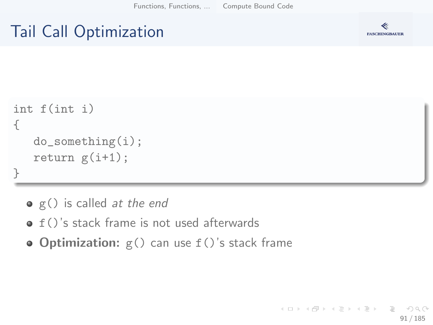## Tail Call Optimization



```
int f(int i)
{
   do_something(i);
   return g(i+1);
}
```
- $\bullet$  g() is called *at the end*
- $\bullet$  f()'s stack frame is not used afterwards
- Optimization:  $g()$  can use  $f()$ 's stack frame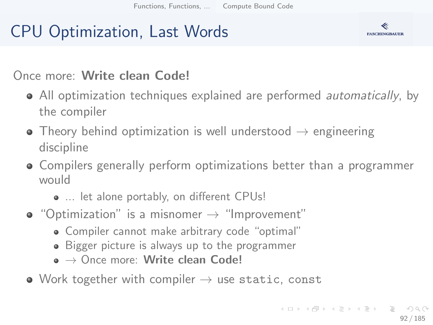# CPU Optimization, Last Words



### Once more: Write clean Code!

- All optimization techniques explained are performed *automatically*, by the compiler
- Theory behind optimization is well understood  $\rightarrow$  engineering discipline
- Compilers generally perform optimizations better than a programmer would
	- ... let alone portably, on different CPUs!
- $\bullet$  "Optimization" is a misnomer  $\rightarrow$  "Improvement"
	- Compiler cannot make arbitrary code "optimal"
	- Bigger picture is always up to the programmer
	- $\bullet \to$  Once more: Write clean Code!
- Work together with compiler  $\rightarrow$  use static, const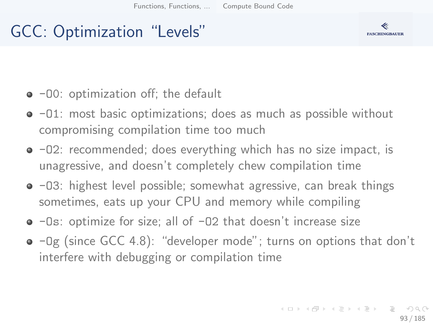# GCC: Optimization "Levels"



- $\bullet$  -00: optimization off; the default
- $\bullet$  -01: most basic optimizations; does as much as possible without compromising compilation time too much
- $\bullet$  -02: recommended; does everything which has no size impact, is unagressive, and doesn't completely chew compilation time
- $\bullet$  -03: highest level possible; somewhat agressive, can break things sometimes, eats up your CPU and memory while compiling
- -Os: optimize for size; all of -O2 that doesn't increase size
- $\bullet$  -Og (since GCC 4.8): "developer mode"; turns on options that don't interfere with debugging or compilation time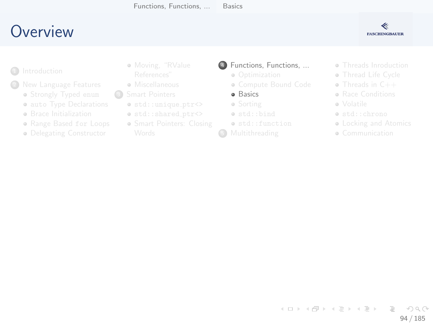# <span id="page-93-0"></span>**O[verview](#page-2-0)**



- **1** Introduction
- - **•** Str[ongly Typed](#page-14-0) enum
	- **auto Type Declarations**
	- **a** Br[ace Initialization](#page-24-0)
	- Range Based for Loops
	- **·** De[legating Constructor](#page-29-0)
- [Moving](#page-6-0), "RValue
- **A** Miscellaneous
- <sup>3</sup> Smart Pointers
	- $\bullet$  std::unique\_ptr<>
	- $\bullet$  std::shared\_ptr<>
	- **Smart Pointers[: Closing](#page-67-0)**
- <sup>4</sup> [Functions, Funct](#page-49-0)ions, ...
	- Optimization
	- [Compute Bound Code](#page-52-0)
	- **·** [Basics](#page-61-0)
	- Sorting
	- [std::bind](#page-67-0)
	- std::function
- **6** Multithreading
- **Threads Inro[duction](#page-93-0)**
- **a** Thread Life [Cycle](#page-111-0)
- Threads in C++
- **Bace Conditi[ons](#page-114-0)**
- Volatile
- std::chron[o](#page-130-0)
- **Locking a[nd Atomics](#page-138-0)**
- **Communication**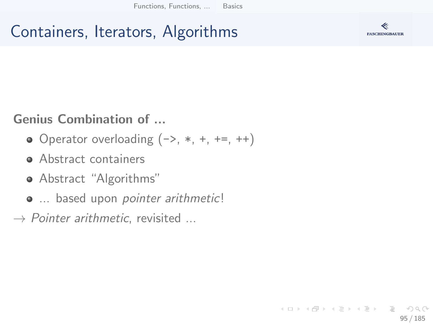# Containers, Iterators, Algorithms



### Genius Combination of ...

- $\bullet$  Operator overloading  $(-), *, +, +=, ++$
- Abstract containers
- Abstract "Algorithms"
- $\bullet$  ... based upon pointer arithmetic!
- $\rightarrow$  Pointer arithmetic, revisited ...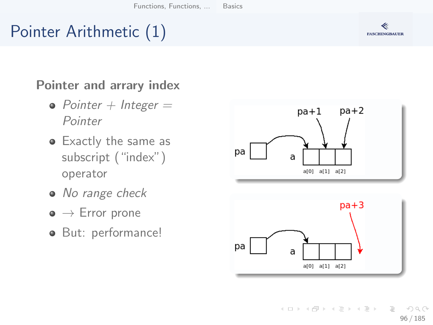# Pointer Arithmetic (1)

#### Pointer and arrary index

- Pointer  $+$  Integer  $=$ Pointer
- Exactly the same as subscript ("index") operator
- No range check
- $\bullet \to$  Error prone
- **But: performance!**





イロト イ部 トイモト イモト Ξ  $OQ$ 96 / 185

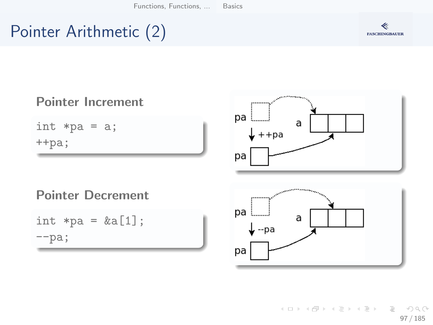# Pointer Arithmetic (2)





K ロ ▶ K 個 ▶ K ヨ ▶ K ヨ ▶ │ ヨ │ め 9,0 97 / 185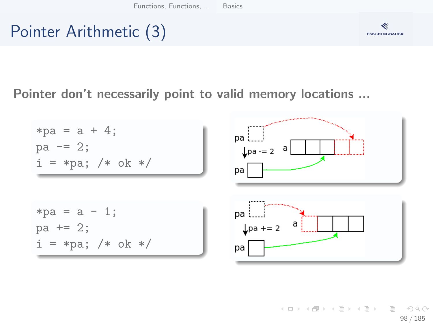# Pointer Arithmetic (3)



### Pointer don't necessarily point to valid memory locations ...



イロト イ団 トイミト イミト ニミー りなぐ 98 / 185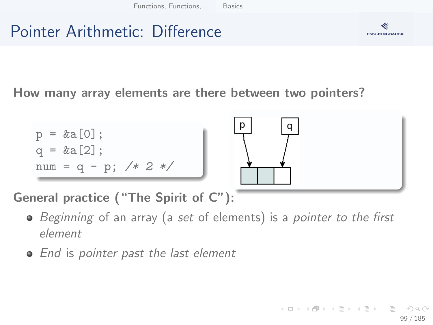# Pointer Arithmetic: Difference



How many array elements are there between two pointers?



General practice ("The Spirit of C"):

- Beginning of an array (a set of elements) is a pointer to the first element
- End is pointer past the last element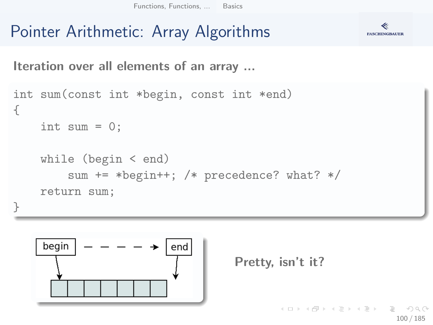# Pointer Arithmetic: Array Algorithms



Iteration over all elements of an array ...

```
int sum(const int *begin, const int *end)
{
    int sum = 0;
    while (begin < end)
        sum += *begin++; /* precedence? what? */
    return sum;
}
```




KED KAP KED KED E YAAN 100 / 185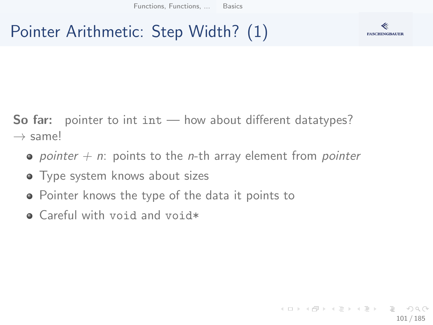## Pointer Arithmetic: Step Width? (1)



**So far:** pointer to int  $int - how$  about different datatypes?  $\rightarrow$  same!

- pointer  $+$  n: points to the *n*-th array element from pointer
- **•** Type system knows about sizes
- Pointer knows the type of the data it points to
- Careful with void and void\*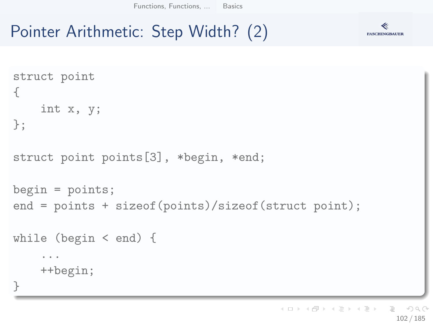# Pointer Arithmetic: Step Width? (2)



イロト イ団 トイミト イミト  $\equiv$   $\curvearrowleft$  a  $\curvearrowright$ 102 / 185

**FASCHINGBAUER**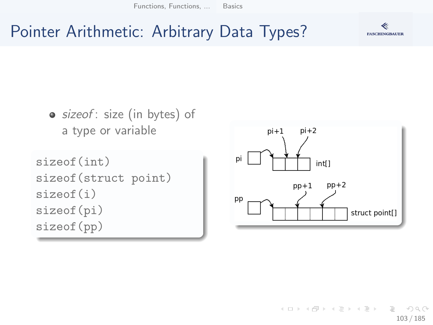## **FASCHINGBAUER**

## Pointer Arithmetic: Arbitrary Data Types?



 $\left\{ \begin{array}{ccc} 1 & 0 & 0 \\ 0 & 1 & 0 \end{array} \right\}$  ,  $\left\{ \begin{array}{ccc} 0 & 0 & 0 \\ 0 & 0 & 0 \end{array} \right\}$  ,  $\left\{ \begin{array}{ccc} 0 & 0 & 0 \\ 0 & 0 & 0 \end{array} \right\}$  $OQ$ 103 / 185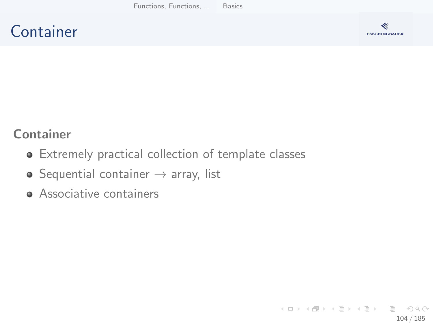## **Container**



#### Container

- Extremely practical collection of template classes
- $\bullet$  Sequential container  $\rightarrow$  array, list
- **Associative containers**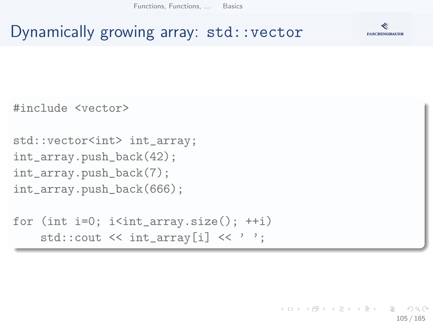

## Dynamically growing array: std::vector

#include <vector>

```
std::vector<int> int_array;
int_array.push_back(42);
int_array.push_back(7);
int_array.push_back(666);
```

```
for (int i=0; i i<int_array.size(); ++i)
    std::cout << int_array[i] << '':
```
イロト イ押 トイヨト イヨト・ヨー  $\Omega$ 105 / 185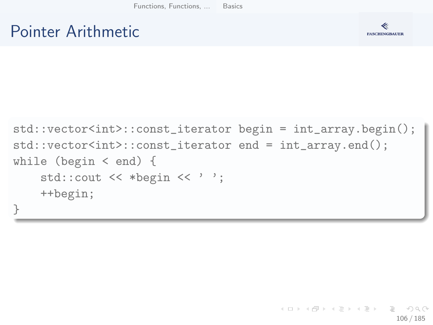## Pointer Arithmetic



```
std::vector<int>::const_iterator begin = int_array.begin();
std::vector<int>::const_iterator end = int_array.end();
while (begin < end) {
    std::cout << *begin << ' ';
    ++begin;
}
```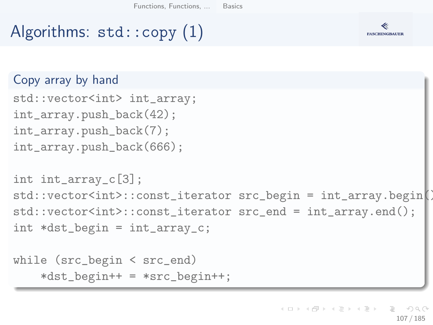# Algorithms: std::copy (1)



```
while (src_begin < src_end)
     *dist_{\text{begin}} += *src_{\text{begin}}++;
```
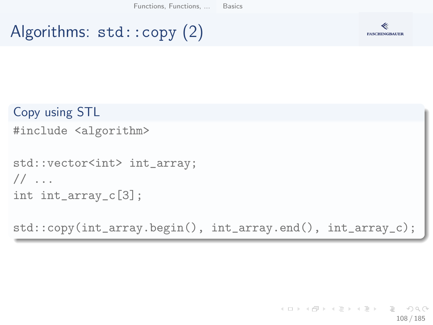# Algorithms: std::copy (2)



```
Copy using STL
#include <algorithm>
std::vector<int> int_array;
// ...
int int_array_c[3];
```
std::copy(int\_array.begin(), int\_array.end(), int\_array\_c);

K ロ ▶ K 個 ▶ K ヨ ▶ K ヨ ▶ │ ヨ │ め 9,0 108 / 185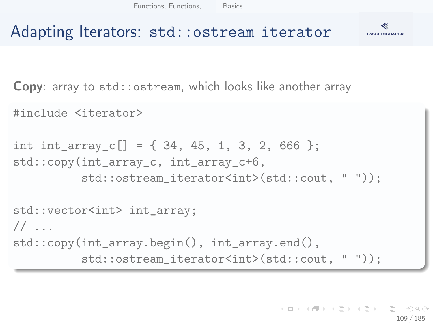

### Adapting Iterators: std::ostream iterator

Copy: array to std::ostream, which looks like another array

#include <iterator>

```
int int_array_c[] = \{34, 45, 1, 3, 2, 666 \};std::copy(int_array_c, int_array_c+6,
          std::ostream_iterator<int>(std::cout, " "));
std::vector<int> int_array;
1/ ...
std::copy(int_array.begin(), int_array.end(),
          std::ostream_iterator<int>(std::cout, " "));
```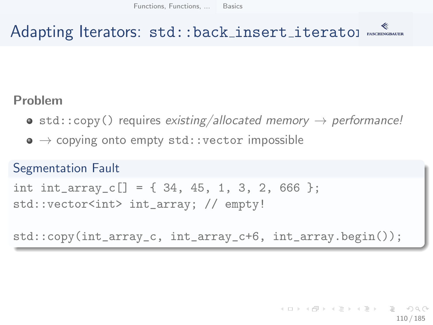## Adapting Iterators: std::back\_insert\_iteratol MAGANUMER

#### Problem

- $\bullet$  std::copy() requires existing/allocated memory  $\rightarrow$  performance!
- $\bullet \rightarrow$  copying onto empty std::vector impossible

#### Segmentation Fault

```
int int_array_c[] = \{34, 45, 1, 3, 2, 666 \};
std::vector<int> int_array; // empty!
```
std::copy(int\_array\_c, int\_array\_c+6, int\_array.begin());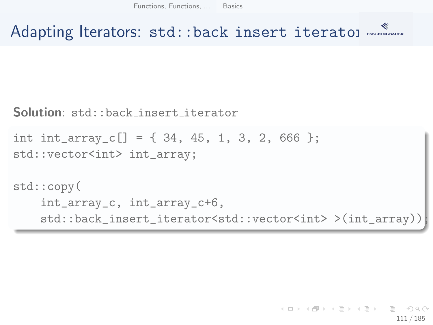Adapting Iterators: std::back\_insert\_iteratol MAGANUMER

Solution: std::back insert iterator

```
int int_array_c[] = \{34, 45, 1, 3, 2, 666 \};std::vector<int> int_array;
```

```
std::copy(
    int_array_c, int_array_c+6,
    std::back_insert_iterator<std::vector<int> >(int_array));
```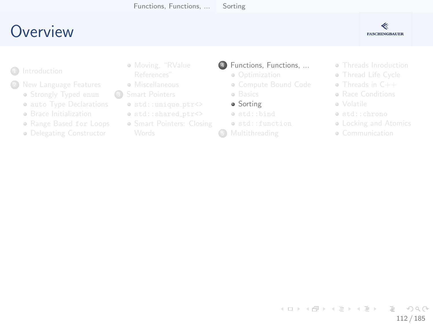## <span id="page-111-0"></span>**O[verview](#page-2-0)**

#### ≪ **FASCHINGBAUER**

- **1** Introduction
- - **•** Str[ongly Typed](#page-14-0) enum
	- **auto Type Declarations**
	- **a** Br[ace Initialization](#page-24-0)
	- Range Based for Loops
	- **·** De[legating Constructor](#page-29-0)
- [Moving](#page-6-0), "RValue
- **A** Miscellaneous
- <sup>3</sup> Smart Pointers
	- $\bullet$  std::unique\_ptr<>
	- $\bullet$  std::shared\_ptr<>
	- **Smart Pointers[: Closing](#page-67-0)**
- <sup>4</sup> [Functions, Funct](#page-49-0)ions, ...
	- Optimization
	- [Compute Bound Code](#page-52-0)
	- **·** [Basics](#page-61-0)
	- **•** Sorting
	- [std::bind](#page-67-0)
	- std::function
- **6** Multithreading
- **Threads Inro[duction](#page-93-0)**
- **a** Thread Life [Cycle](#page-111-0)
- Threads in C++
- **Bace Conditi[ons](#page-114-0)**
- Volatile
- std::chron[o](#page-130-0)
- **Locking a[nd Atomics](#page-138-0)**
- **Communication**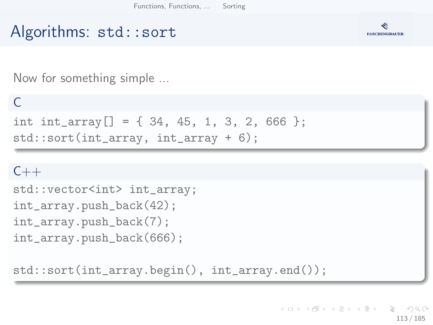## Algorithms: std::sort



Now for something simple ...

#### $\Gamma$

int int\_array[] =  $\{34, 45, 1, 3, 2, 666 \};$ std::sort(int\_array, int\_array + 6);

#### $C++$

```
std::vector<int> int_array;
int_array.push_back(42);
int_array.push_back(7);
int_array.push_back(666);
```
std::sort(int\_array.begin(), int\_array.end());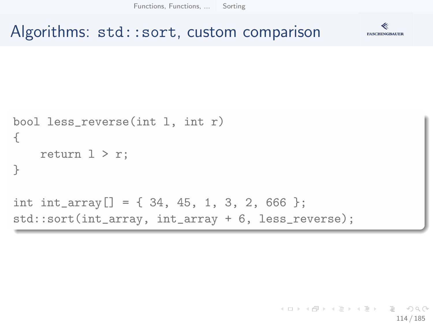[Functions, Functions, ...](#page-69-0) [Sorting](#page-111-0)

### Algorithms: std::sort, custom comparison



```
bool less_reverse(int l, int r)
{
    return 1 > r:
}
int int_array[] = \{ 34, 45, 1, 3, 2, 666 \};std::sort(int_array, int_array + 6, less_reverse);
```
K ロ ) - K (ラ ) - K (ミ ) - K (ミ ) - ( ) ()  $\Omega$ 114 / 185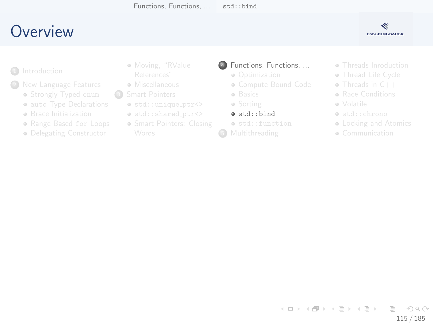## <span id="page-114-0"></span>**O[verview](#page-2-0)**

#### ≪ **FASCHINGBAUER**

- **1** Introduction
- - **•** Str[ongly Typed](#page-14-0) enum
	- **auto Type Declarations**
	- **a** Br[ace Initialization](#page-24-0)
	- Range Based for Loops
	- **·** De[legating Constructor](#page-29-0)
- [Moving](#page-6-0), "RValue
- **A** Miscellaneous
- <sup>3</sup> Smart Pointers
	- $\bullet$  std::unique\_ptr<>
	- $\bullet$  std::shared\_ptr<>
	- **Smart Pointers[: Closing](#page-67-0)**
- <sup>4</sup> [Functions, Funct](#page-49-0)ions, ...
	- Optimization
	- [Compute Bound Code](#page-52-0)
	- **·** [Basics](#page-61-0)
	- Sorting
	- $\bullet$  [std::bind](#page-67-0)
	- std::function
- **6** Multithreading
- **Threads Inro[duction](#page-93-0)**
- **a** Thread Life [Cycle](#page-111-0)
- Threads in C++
- **Bace Conditi[ons](#page-114-0)**
- Volatile
- std::chron[o](#page-130-0)
- **Locking a[nd Atomics](#page-138-0)**
- **Communication**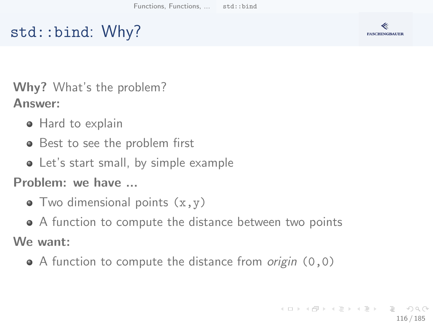## std::bind: Why?



Why? What's the problem? Answer:

- Hard to explain
- Best to see the problem first
- Let's start small, by simple example

Problem: we have ...

- $\bullet$  Two dimensional points  $(x,y)$
- A function to compute the distance between two points We want:
	- $\bullet$  A function to compute the distance from *origin*  $(0,0)$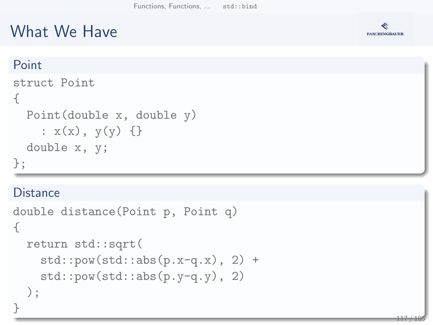## What We Have



#### Point

```
struct Point
{
  Point(double x, double y)
    : x(x), y(y) \{\}double x, y;
};
```
#### **Distance**

```
double distance(Point p, Point q)
{
  return std::sqrt(
    std::pow(std::abs(p.x-q.x), 2) +std::pow(std::abs(p.y-q.y), 2));
}
```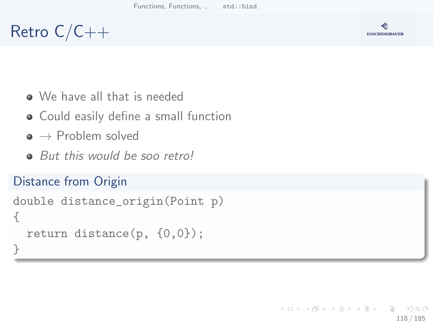## Retro C/C++



- We have all that is needed
- Could easily define a small function
- $\bullet \rightarrow$  Problem solved
- But this would be soo retro!

#### Distance from Origin

```
double distance_origin(Point p)
{
  return distance(p, {0,0});
}
```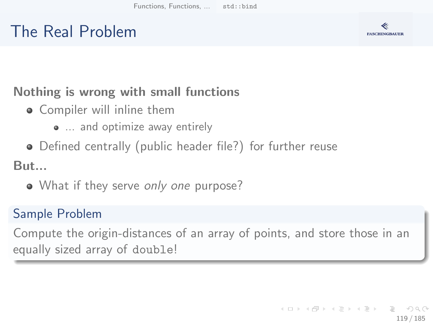## The Real Problem



### Nothing is wrong with small functions

- **•** Compiler will inline them
	- ... and optimize away entirely
- Defined centrally (public header file?) for further reuse

But...

• What if they serve only one purpose?

### Sample Problem

Compute the origin-distances of an array of points, and store those in an equally sized array of double!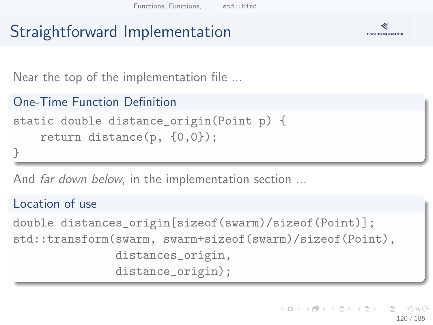## Straightforward Implementation



Near the top of the implementation file ...

```
One-Time Function Definition
static double distance_origin(Point p) {
    return distance(p, {0,0});
```
}

And *far down below*, in the implementation section ...

#### Location of use

double distances\_origin[sizeof(swarm)/sizeof(Point)]; std::transform(swarm, swarm+sizeof(swarm)/sizeof(Point), distances\_origin, distance\_origin);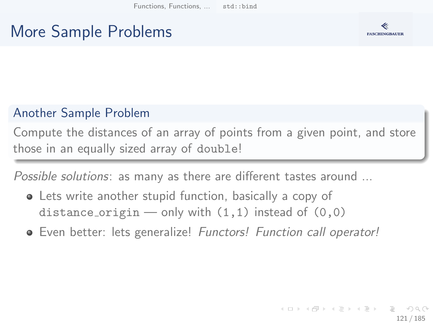## More Sample Problems



### Another Sample Problem

Compute the distances of an array of points from a given point, and store those in an equally sized array of double!

Possible solutions: as many as there are different tastes around ...

- Lets write another stupid function, basically a copy of distance origin — only with  $(1,1)$  instead of  $(0,0)$
- **•** Even better: lets generalize! Functors! Function call operator!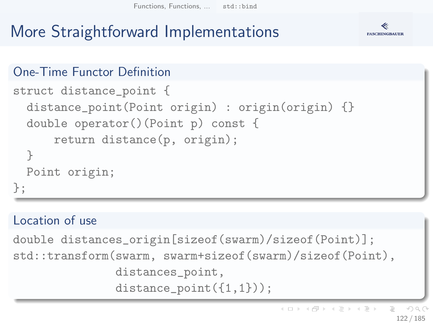[Functions, Functions, ...](#page-69-0) [std::bind](#page-114-0)

# More Straightforward Implementations



#### One-Time Functor Definition

```
struct distance_point {
  distance_point(Point origin) : origin(origin) {}
  double operator()(Point p) const {
      return distance(p, origin);
  }
 Point origin;
};
```
#### Location of use

```
double distances_origin[sizeof(swarm)/sizeof(Point)];
std::transform(swarm, swarm+sizeof(swarm)/sizeof(Point),
               distances_point,
               distance_point(\{1,1\});
```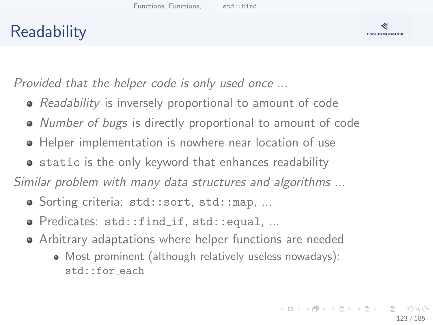## **Readability**



Provided that the helper code is only used once ...

- Readability is inversely proportional to amount of code
- Number of bugs is directly proportional to amount of code
- Helper implementation is nowhere near location of use
- **•** static is the only keyword that enhances readability

Similar problem with many data structures and algorithms ...

- Sorting criteria: std::sort, std::map, ...
- Predicates: std::find\_if, std::equal, ...
- Arbitrary adaptations where helper functions are needed
	- Most prominent (although relatively useless nowadays): std::for each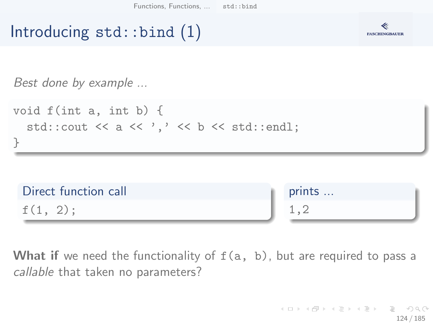



Best done by example ...





What if we need the functionality of  $f(a, b)$ , but are required to pass a callable that taken no parameters?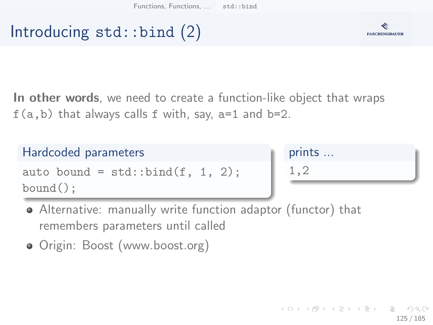## Introducing  $std::bind(2)$



In other words, we need to create a function-like object that wraps  $f(a,b)$  that always calls f with, say,  $a=1$  and  $b=2$ .

### Hardcoded parameters auto bound =  $std::bind(f, 1, 2);$ bound();

## prints ... 1,2

- Alternative: manually write function adaptor (functor) that remembers parameters until called
- Origin: Boost [\(www.boost.org\)](www.boost.org)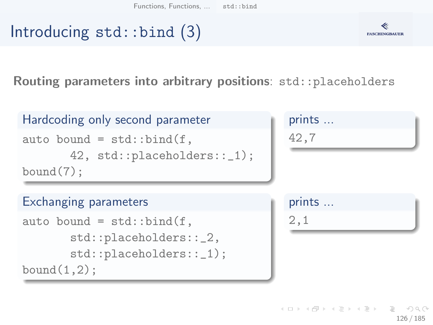# Introducing  $std::bind$  (3)



126 / 185

 $000$ 

イロト イ押 トイヨト イヨト・ヨー

Routing parameters into arbitrary positions: std::placeholders

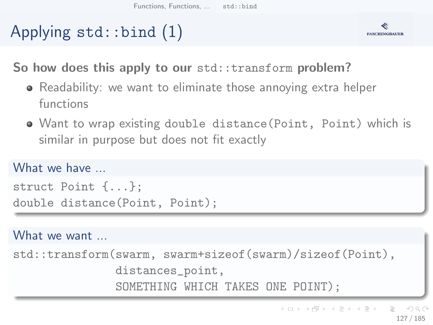# Applying std::bind (1)



So how does this apply to our std::transform problem?

- Readability: we want to eliminate those annoying extra helper functions
- Want to wrap existing double distance(Point, Point) which is similar in purpose but does not fit exactly

#### What we have

```
struct Point {...};
double distance(Point, Point);
```
#### What we want ...

std::transform(swarm, swarm+sizeof(swarm)/sizeof(Point), distances\_point, SOMETHING WHICH TAKES ONE POINT);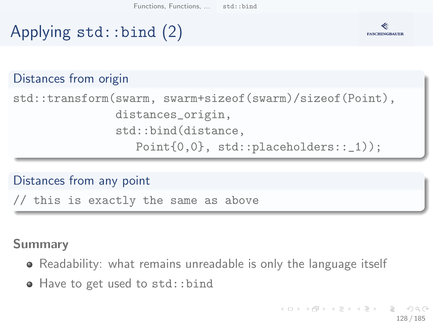## **FASCHINGBAUER**

## Applying std::bind (2)

#### Distances from origin

std::transform(swarm, swarm+sizeof(swarm)/sizeof(Point), distances\_origin, std::bind(distance, Point $\{0,0\}$ , std::placeholders::\_1));

Distances from any point

// this is exactly the same as above

#### Summary

- Readability: what remains unreadable is only the language itself
- Have to get used to std::bind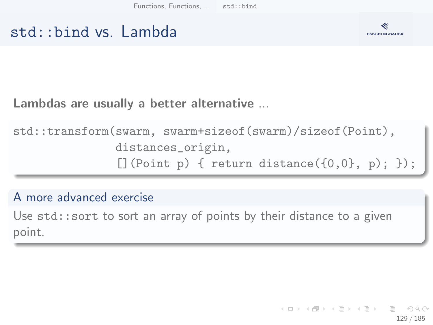### std::bind vs. Lambda



Lambdas are usually a better alternative ...

std::transform(swarm, swarm+sizeof(swarm)/sizeof(Point), distances\_origin,  $[]$ (Point p) { return distance( $\{0,0\}$ , p); });

#### A more advanced exercise

Use std:: sort to sort an array of points by their distance to a given point.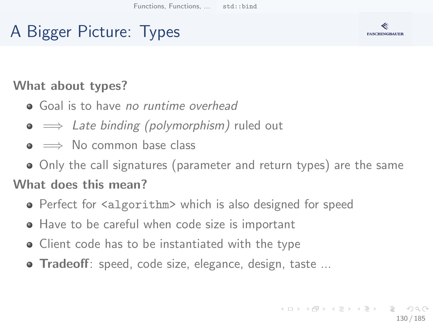## A Bigger Picture: Types



#### What about types?

- Goal is to have no runtime overhead
- $\bullet \implies$  Late binding (polymorphism) ruled out
- $\bullet \implies$  No common base class
- Only the call signatures (parameter and return types) are the same

#### What does this mean?

- Perfect for <algorithm> which is also designed for speed
- Have to be careful when code size is important
- Client code has to be instantiated with the type
- **Tradeoff**: speed, code size, elegance, design, taste ...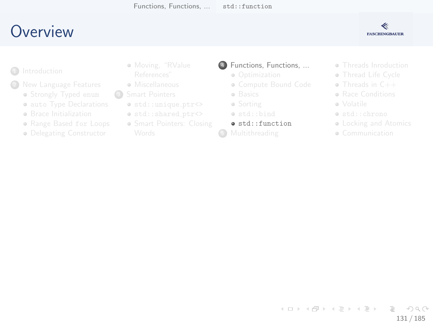## <span id="page-130-0"></span>**O[verview](#page-2-0)**

#### ≪ **FASCHINGBAUER**

#### **1** Introduction

- - **•** Str[ongly Typed](#page-14-0) enum
	- **auto Type Declarations**
	- **a** Br[ace Initialization](#page-24-0)
	- Range Based for Loops
	- **·** De[legating Constructor](#page-29-0)
- [Moving](#page-6-0), "RValue
- **A** Miscellaneous
- <sup>3</sup> Smart Pointers
	- $\bullet$  std::unique\_ptr<>
	- $\bullet$  std::shared\_ptr<>
	- **Smart Pointers[: Closing](#page-67-0)**

#### <sup>4</sup> [Functions, Funct](#page-49-0)ions, ...

- Optimization
- [Compute Bound Code](#page-52-0)
- **·** [Basics](#page-61-0)
- Sorting
- [std::bind](#page-67-0)
- std::function
- **6** Multithreading
- **Threads Inro[duction](#page-93-0)**
- **a** Thread Life [Cycle](#page-111-0)
- Threads in C++
- **Bace Conditi[ons](#page-114-0)**
- Volatile
- std::chron[o](#page-130-0)
- **Locking a[nd Atomics](#page-138-0)**
- **Communication**

#### イロト イ部 トイモト イモト Ξ  $OQ$ 131 / 185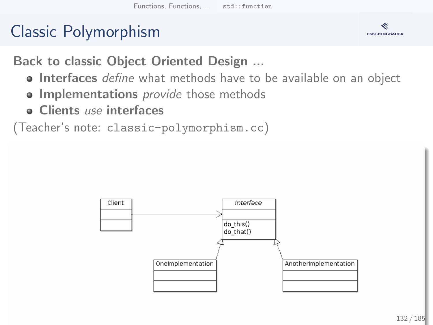## Classic Polymorphism



Back to classic Object Oriented Design ...

- **Interfaces** define what methods have to be available on an object
- **.** Implementations *provide* those methods
- **o** Clients use interfaces

(Teacher's note: classic-polymorphism.cc)

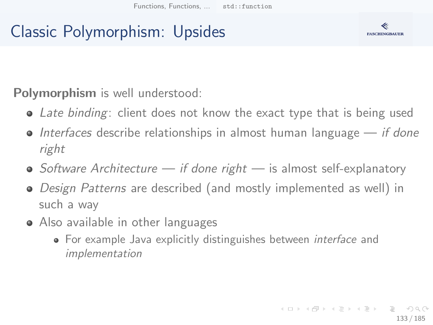## Classic Polymorphism: Upsides



Polymorphism is well understood:

- Late binding: client does not know the exact type that is being used
- $\bullet$  Interfaces describe relationships in almost human language if done right
- $\bullet$  Software Architecture if done right is almost self-explanatory
- Design Patterns are described (and mostly implemented as well) in such a way
- Also available in other languages
	- For example Java explicitly distinguishes between *interface* and implementation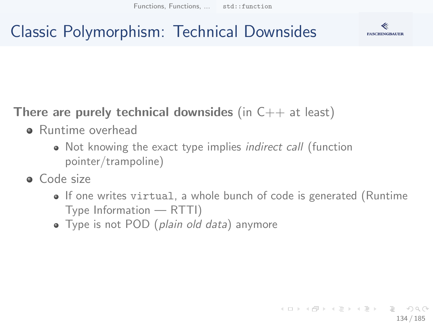## Classic Polymorphism: Technical Downsides



### There are purely technical downsides (in  $C++$  at least)

- **•** Runtime overhead
	- Not knowing the exact type implies *indirect call* (function pointer/trampoline)
- **a** Code size
	- If one writes virtual, a whole bunch of code is generated (Runtime Type Information — RTTI)
	- Type is not POD (plain old data) anymore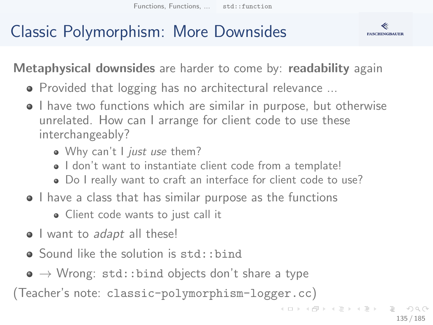## Classic Polymorphism: More Downsides



Metaphysical downsides are harder to come by: readability again

- Provided that logging has no architectural relevance ...
- I have two functions which are similar in purpose, but otherwise unrelated. How can I arrange for client code to use these interchangeably?
	- . Why can't I just use them?
	- $\bullet$  I don't want to instantiate client code from a template!
	- Do I really want to craft an interface for client code to use?
- I have a class that has similar purpose as the functions
	- Client code wants to just call it
- I want to adapt all these!
- Sound like the solution is std::bind
- $\bullet \rightarrow$  Wrong: std::bind objects don't share a type

(Teacher's note: classic-polymorphism-logger.cc)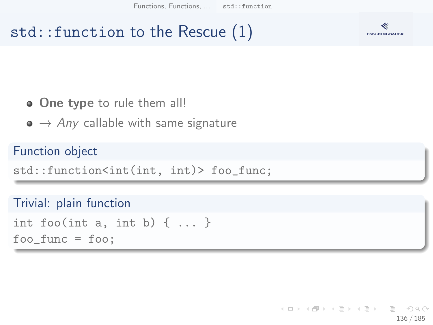### std::function to the Rescue (1)



#### • One type to rule them all!

 $\bullet \rightarrow Any$  callable with same signature

#### Function object

std::function<int(int, int)> foo\_func;

#### Trivial: plain function

```
int foo(int a, int b) \{ \ldots \}foo_func = foo;
```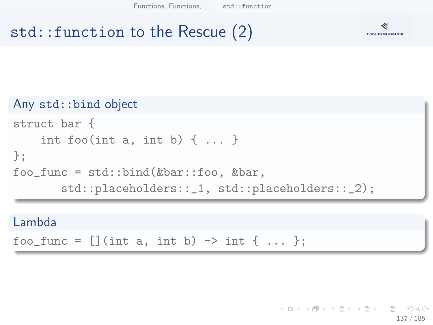[Functions, Functions, ...](#page-69-0) [std::function](#page-130-0)

## std::function to the Rescue (2)



#### Any std::bind object

```
struct bar {
    int foo(int a, int b) \{ \ldots \}};
foo_func = std::bind(&bar::foo, &bar,std::placeholders::_1, std::placeholders::_2);
```
#### Lambda

foo\_func =  $[]$  (int a, int b) -> int { ... };

イロト イ押 トイヨト イヨト・ヨー 137 / 185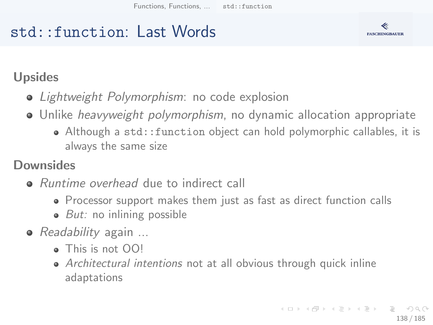## std::function: Last Words



### Upsides

- Lightweight Polymorphism: no code explosion
- Unlike *heavyweight polymorphism*, no dynamic allocation appropriate
	- Although a std::function object can hold polymorphic callables, it is always the same size

### **Downsides**

- Runtime overhead due to indirect call
	- Processor support makes them just as fast as direct function calls
	- $\bullet$  *But:* no inlining possible
- *Readability* again ...
	- This is not OO!
	- Architectural intentions not at all obvious through quick inline adaptations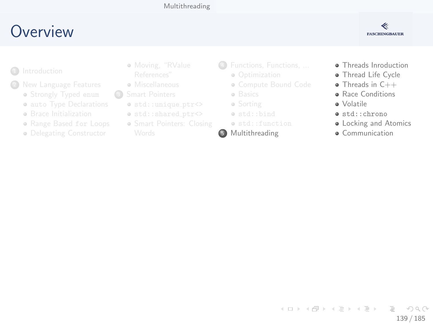#### [Multithreading](#page-138-0)

## <span id="page-138-0"></span>**O[verview](#page-2-0)**

#### ≪ **FASCHINGBAUER**

- **1** Introduction
- - **•** Str[ongly Typed](#page-14-0) enum
	- **auto Type Declarations**
	- **a** Br[ace Initialization](#page-24-0)
	- Range Based for Loops
	- **·** De[legating Constructor](#page-29-0)
- [Moving](#page-6-0), "RValue
- **A** Miscellaneous
- <sup>3</sup> Smart Pointers
	- $\bullet$  std::unique\_ptr<>
	- $\bullet$  std::shared\_ptr<>
	- **Smart Pointers[: Closing](#page-67-0)**
- <sup>4</sup> [Functions, Funct](#page-49-0)ions, ...
	- Optimization
	- [Compute Bound Code](#page-52-0)
	- **·** [Basics](#page-61-0)
	- Sorting
	- $\bullet$  [std::bind](#page-67-0)
	- std::function
- 5 Multithreading
- **•** Threads Inro[duction](#page-93-0)
- **·** Thread Life [Cycle](#page-111-0)
- Threads in C++
- **Bace Conditi[ons](#page-114-0)**
- Volatile
- std::chron[o](#page-130-0)
- **•** Locking a[nd Atomics](#page-138-0)
- **A** Communication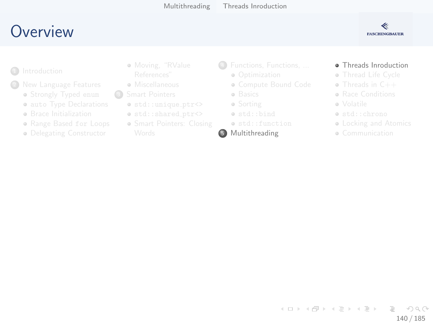## <span id="page-139-0"></span>**O[verview](#page-2-0)**

#### ≪ **FASCHINGBAUER**

- **1** Introduction
	- - **•** Str[ongly Typed](#page-14-0) enum
		- **auto Type Declarations**
		- **a** Br[ace Initialization](#page-24-0)
		- Range Based for Loops
		- **·** De[legating Constructor](#page-29-0)
- [Moving](#page-6-0), "RValue
- **A** Miscellaneous
- <sup>3</sup> Smart Pointers
	- $\bullet$  std::unique\_ptr<>
	- $\bullet$  std::shared\_ptr<>
	- **Smart Pointers[: Closing](#page-67-0)**
- <sup>4</sup> [Functions, Funct](#page-49-0)ions, ...
	- Optimization
	- [Compute Bound Code](#page-52-0)
	- **·** [Basics](#page-61-0)
	- Sorting
	- $\bullet$  [std::bind](#page-67-0)
	- std::function

#### 5 Multithreading

#### **•** Threads Inro[duction](#page-93-0)

- **a** Thread Life [Cycle](#page-111-0)
- Threads in C++
- **Bace Conditi[ons](#page-114-0)**
- Volatile
- std::chron[o](#page-130-0)
- **Locking a[nd Atomics](#page-138-0)**
- **Communication**

#### イロト イ部 トイモト イモト Ξ  $OQ$ 140 / 185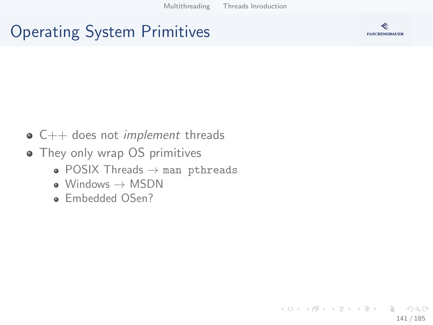## Operating System Primitives



- - $\bullet$  C++ does not *implement* threads
	- They only wrap OS primitives
		- POSIX Threads  $\rightarrow$  man pthreads
		- $\bullet$  Windows  $\rightarrow$  MSDN
		- Embedded OSen?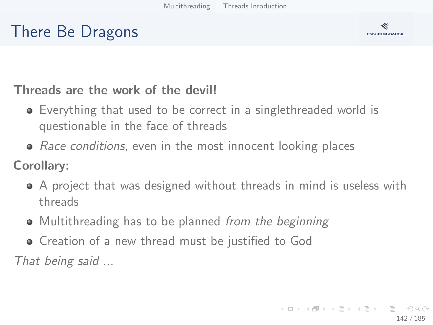## There Be Dragons



#### Threads are the work of the devil!

- Everything that used to be correct in a singlethreaded world is questionable in the face of threads
- Race conditions, even in the most innocent looking places

Corollary:

- A project that was designed without threads in mind is useless with threads
- Multithreading has to be planned from the beginning
- Creation of a new thread must be justified to God

That being said ...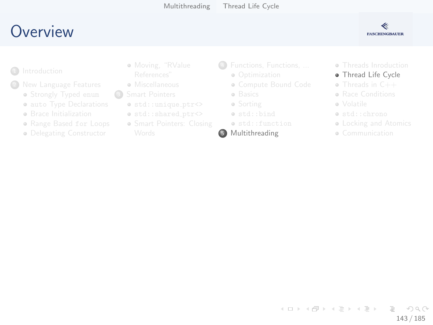## <span id="page-142-0"></span>**O[verview](#page-2-0)**



- **1** Introduction
	- - **•** Str[ongly Typed](#page-14-0) enum
		- **auto Type Declarations**
		- **a** Br[ace Initialization](#page-24-0)
		- Range Based for Loops
		- **·** De[legating Constructor](#page-29-0)
- [Moving](#page-6-0), "RValue
- **A** Miscellaneous
- <sup>3</sup> Smart Pointers
	- $\bullet$  std::unique\_ptr<>
	- $\bullet$  std::shared\_ptr<>
	- **Smart Pointers[: Closing](#page-67-0)**
- <sup>4</sup> [Functions, Funct](#page-49-0)ions, ...
	- Optimization
	- [Compute Bound Code](#page-52-0)
	- **·** [Basics](#page-61-0)
	- Sorting
	- [std::bind](#page-67-0)
	- std::function
- 5 Multithreading

**• Threads Inro[duction](#page-93-0)** 

#### **·** Thread Life [Cycle](#page-111-0)

- Threads in C++
- **Bace Conditi[ons](#page-114-0)**
- Volatile
- std::chron[o](#page-130-0)
- **Locking a[nd Atomics](#page-138-0)**
- **Communication**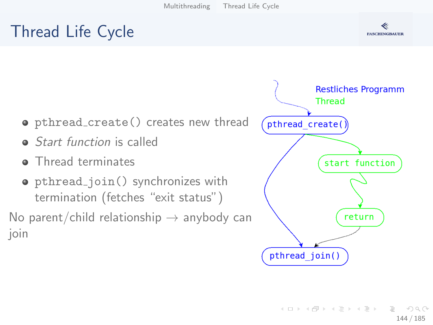## Thread Life Cycle



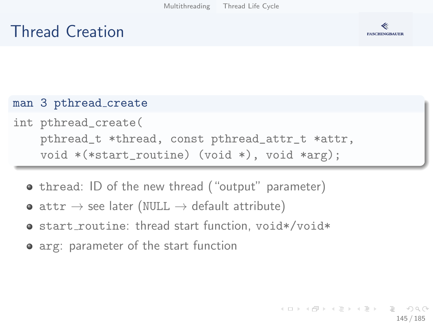# Thread Creation



### man 3 pthread\_create

- int pthread\_create( pthread\_t \*thread, const pthread\_attr\_t \*attr, void \*(\*start\_routine) (void \*), void \*arg);
	- **•** thread: ID of the new thread ("output" parameter)
	- attr  $\rightarrow$  see later (NULL  $\rightarrow$  default attribute)
	- start\_routine: thread start function, void\*/void\*
	- arg: parameter of the start function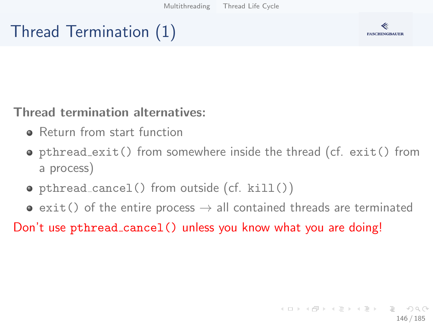# Thread Termination (1)



### Thread termination alternatives:

- **•** Return from start function
- pthread exit() from somewhere inside the thread (cf. exit() from a process)
- pthread cancel() from outside (cf. kill())
- $\bullet$  exit() of the entire process  $\rightarrow$  all contained threads are terminated

Don't use pthread\_cancel() unless you know what you are doing!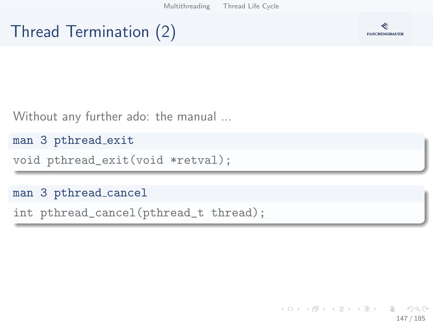[Multithreading](#page-138-0) [Thread Life Cycle](#page-142-0)

# Thread Termination (2)



Without any further ado: the manual ...

man 3 pthread exit

void pthread\_exit(void \*retval);

### man 3 pthread cancel

int pthread\_cancel(pthread\_t thread);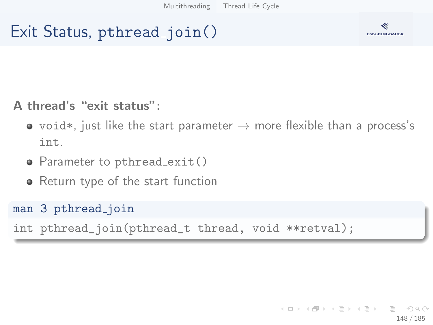# Exit Status, pthread\_join()



### A thread's "exit status":

- void\*, just like the start parameter  $\rightarrow$  more flexible than a process's int.
- Parameter to pthread exit()
- Return type of the start function

### man 3 pthread join

int pthread\_join(pthread\_t thread, void \*\*retval);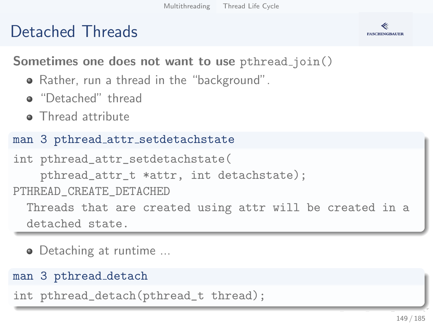# Detached Threads



Sometimes one does not want to use pthread\_join()

- Rather, run a thread in the "background".
- **a** "Detached" thread
- Thread attribute

### man 3 pthread attr setdetachstate

```
int pthread_attr_setdetachstate(
    pthread_attr_t *attr, int detachstate);
PTHREAD_CREATE_DETACHED
  Threads that are created using attr will be created in a
  detached state.
```
• Detaching at runtime ...

### man 3 pthread detach

int pthread\_detach(pthread\_t thread);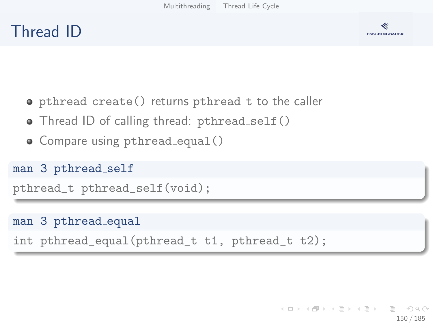# Thread ID



- o pthread create() returns pthread t to the caller
- Thread ID of calling thread: pthread\_self()
- Compare using pthread\_equal()

### man 3 pthread self

```
pthread_t pthread_self(void);
```
### man 3 pthread equal

```
int pthread_equal(pthread_t t1, pthread_t t2);
```
イロト イ押 トイヨ トイヨ トー  $\equiv$  $\Omega$ 150 / 185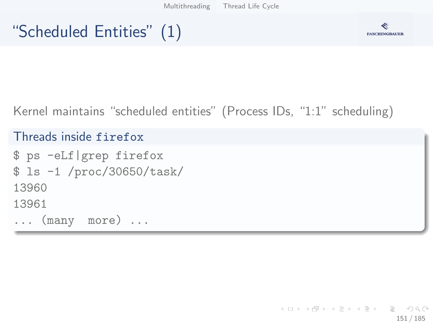# "Scheduled Entities" (1)



### Kernel maintains "scheduled entities" (Process IDs, "1:1" scheduling)

### Threads inside firefox

```
$ ps -eLf|grep firefox
$ ls -1 /proc/30650/task/
13960
13961
... (many more) ...
```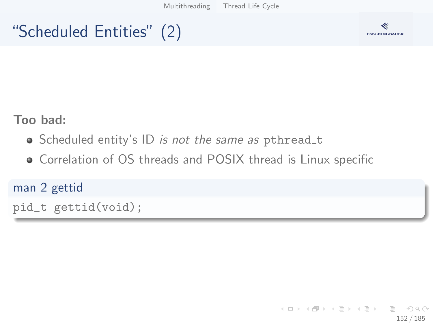[Multithreading](#page-138-0) [Thread Life Cycle](#page-142-0)

# "Scheduled Entities" (2)



Too bad:

- Scheduled entity's ID is not the same as pthread\_t
- Correlation of OS threads and POSIX thread is Linux specific

### man 2 gettid

pid\_t gettid(void);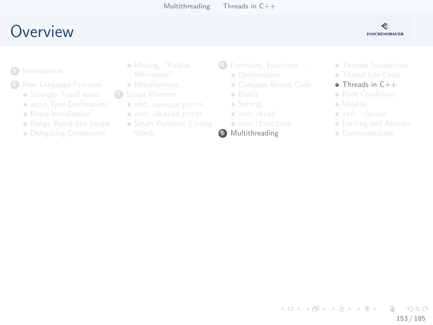# <span id="page-152-0"></span>**O[verview](#page-2-0)**



- **1** Introduction
	- - **•** Str[ongly Typed](#page-14-0) enum
		- **auto Type Declarations**
		- **a** Br[ace Initialization](#page-24-0)
		- Range Based for Loops
		- **·** De[legating Constructor](#page-29-0)
- [Moving](#page-6-0), "RValue
- **A** Miscellaneous
- <sup>3</sup> Smart Pointers
	- $\bullet$  std::unique\_ptr<>
	- $\bullet$  std::shared\_ptr<>
	- **Smart Pointers[: Closing](#page-67-0)**
- <sup>4</sup> [Functions, Funct](#page-49-0)ions, ...
	- Optimization
	- [Compute Bound Code](#page-52-0)
	- **·** [Basics](#page-61-0)
	- Sorting
	- [std::bind](#page-67-0)
	- std::function
- 5 Multithreading
- **Threads Inro[duction](#page-93-0)**
- **a** Thread Life [Cycle](#page-111-0)
- Threads in C++
- **Bace Conditi[ons](#page-114-0)**
- Volatile
- std::chron[o](#page-130-0)
- **Locking a[nd Atomics](#page-138-0)**
- **Communication**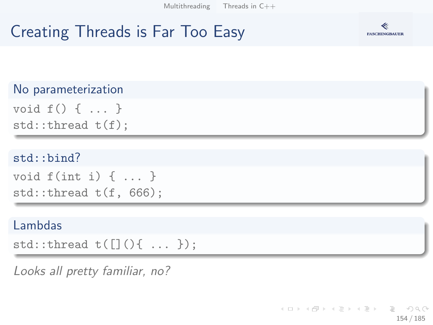# Creating Threads is Far Too Easy



### No parameterization

```
void f() { ... }
std::thread t(f);
```
### std::bind?

```
void f(int i) { ... }std::thread t(f, 666);
```
### Lambdas

```
std::thread t([]( ){ \ldots };
```
Looks all pretty familiar, no?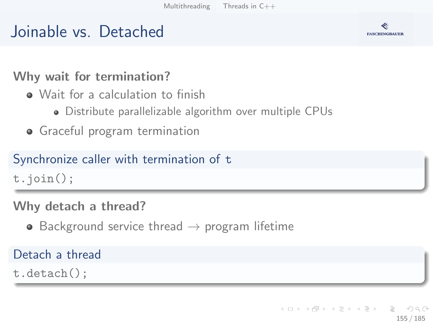# Joinable vs. Detached



### Why wait for termination?

- Wait for a calculation to finish
	- Distribute parallelizable algorithm over multiple CPUs
- **•** Graceful program termination

### Synchronize caller with termination of t

t.join();

### Why detach a thread?

• Background service thread  $\rightarrow$  program lifetime

### Detach a thread

t.detach();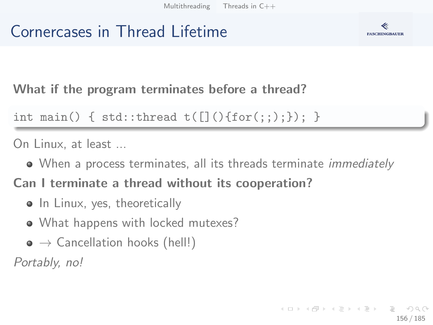# Cornercases in Thread Lifetime



What if the program terminates before a thread?

```
int main() { std::thread t([]() {for(:,);}); }
```
On Linux, at least ...

• When a process terminates, all its threads terminate *immediately* 

Can I terminate a thread without its cooperation?

- In Linux, yes, theoretically
- What happens with locked mutexes?
- $\bullet \to$  Cancellation hooks (hell!)

Portably, no!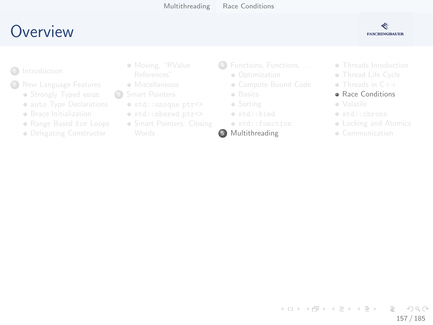# <span id="page-156-0"></span>**O[verview](#page-2-0)**



- **1** Introduction
	- - **•** Str[ongly Typed](#page-14-0) enum
		- **auto Type Declarations**
		- **a** Br[ace Initialization](#page-24-0)
		- Range Based for Loops
		- **·** De[legating Constructor](#page-29-0)
- [Moving](#page-6-0), "RValue
- **A** Miscellaneous
- <sup>3</sup> Smart Pointers
	- $\bullet$  std::unique\_ptr<>
	- $\bullet$  std::shared\_ptr<>
	- **Smart Pointers[: Closing](#page-67-0)**
- <sup>4</sup> [Functions, Funct](#page-49-0)ions, ...
	- Optimization
	- [Compute Bound Code](#page-52-0)
	- **·** [Basics](#page-61-0)
	- Sorting
	- $\bullet$  [std::bind](#page-67-0)
	- std::function
- 5 Multithreading
- **Threads Inro[duction](#page-93-0)**
- **a** Thread Life [Cycle](#page-111-0)
- Threads in C++
- **Bace Conditi[ons](#page-114-0)**
- Volatile
- std::chron[o](#page-130-0)
- **Locking a[nd Atomics](#page-138-0)**
- **Communication**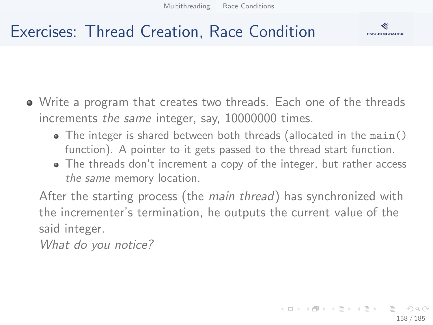

# Exercises: Thread Creation, Race Condition

- Write a program that creates two threads. Each one of the threads increments the same integer, say, 10000000 times.
	- $\bullet$  The integer is shared between both threads (allocated in the main() function). A pointer to it gets passed to the thread start function.
	- The threads don't increment a copy of the integer, but rather access the same memory location.

After the starting process (the main thread) has synchronized with the incrementer's termination, he outputs the current value of the said integer.

What do you notice?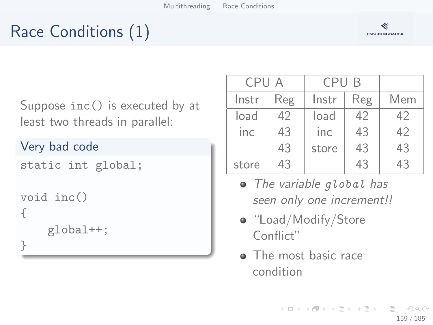# Race Conditions (1)



Suppose inc() is executed by at least two threads in parallel:

### Very bad code

```
static int global;
void inc()
{
    global++;
}
```

| CPU A |     | CPU B |     |     |
|-------|-----|-------|-----|-----|
| Instr | Reg | Instr | Reg | Mem |
| load  | 42  | load  | 42  | 42  |
| inc   | 43  | inc   | 43  | 42  |
|       | 43  | store | 43  | 43  |
| store | 43  |       | 43  | 43  |

- The variable global has seen only one increment!!
- "Load/Modify/Store Conflict"
- The most basic race condition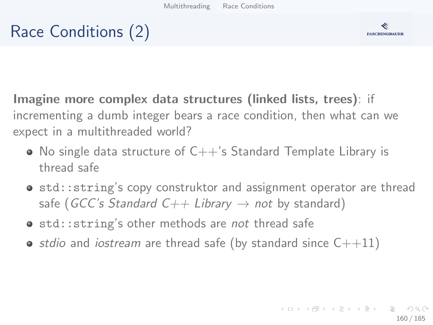# Race Conditions (2)



Imagine more complex data structures (linked lists, trees): if incrementing a dumb integer bears a race condition, then what can we expect in a multithreaded world?

- $\bullet$  No single data structure of C++'s Standard Template Library is thread safe
- std:: string's copy construktor and assignment operator are thread safe (GCC's Standard C++ Library  $\rightarrow$  not by standard)
- std:: string's other methods are not thread safe
- stdio and iostream are thread safe (by standard since  $C++11$ )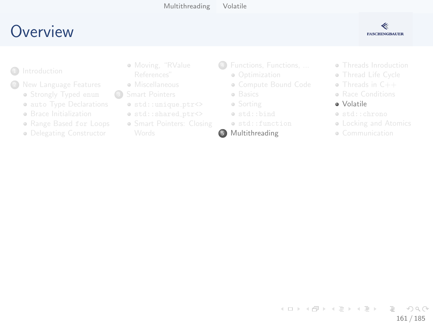# <span id="page-160-0"></span>**O[verview](#page-2-0)**

### ≪ **FASCHINGBAUER**

- **1** Introduction
	- - **•** Str[ongly Typed](#page-14-0) enum
		- **auto Type Declarations**
		- **a** Br[ace Initialization](#page-24-0)
		- Range Based for Loops
		- **·** De[legating Constructor](#page-29-0)
- [Moving](#page-6-0), "RValue
- **A** Miscellaneous
- <sup>3</sup> Smart Pointers
	- $\bullet$  std::unique\_ptr<>
	- $\bullet$  std::shared\_ptr<>
	- **Smart Pointers[: Closing](#page-67-0)**
- <sup>4</sup> [Functions, Funct](#page-49-0)ions, ...
	- Optimization
	- [Compute Bound Code](#page-52-0)
	- **·** [Basics](#page-61-0)
	- Sorting
	- $\bullet$  [std::bind](#page-67-0)
	- std::function
- 5 Multithreading
- **Threads Inro[duction](#page-93-0)**
- **a** Thread Life [Cycle](#page-111-0)
- Threads in C++
- **Bace Conditi[ons](#page-114-0)**
- Volatile
- std::chron[o](#page-130-0)
- **Locking a[nd Atomics](#page-138-0)**
- **Communication**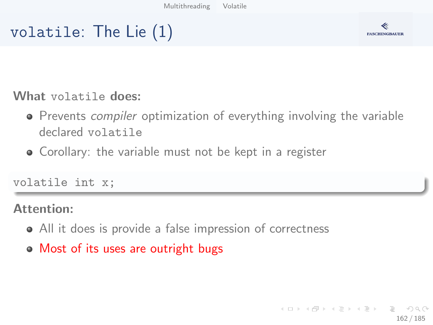# volatile: The Lie (1)



What volatile does:

- **•** Prevents *compiler* optimization of everything involving the variable declared volatile
- Corollary: the variable must not be kept in a register

volatile int x;

### Attention:

- All it does is provide a false impression of correctness
- Most of its uses are outright bugs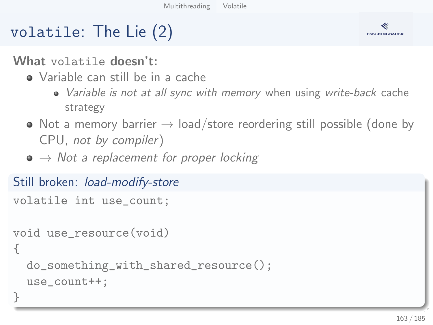# volatile: The Lie (2)

What volatile doesn't:

- Variable can still be in a cache
	- Variable is not at all sync with memory when using write-back cache strategy
- $\bullet$  Not a memory barrier  $\rightarrow$  load/store reordering still possible (done by CPU, not by compiler)
- $\bullet \rightarrow$  Not a replacement for proper locking

```
Still broken: load-modify-store
volatile int use_count;
void use_resource(void)
{
  do_something_with_shared_resource();
  use_count++;
}
```
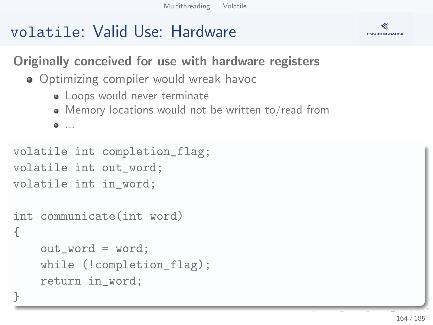# volatile: Valid Use: Hardware



Originally conceived for use with hardware registers

- **•** Optimizing compiler would wreak havoc
	- Loops would never terminate
	- Memory locations would not be written to/read from

...

}

```
volatile int completion_flag;
volatile int out_word;
volatile int in_word;
```

```
int communicate(int word)
{
    out_word = word;
    while (!completion_flag);
    return in_word;
```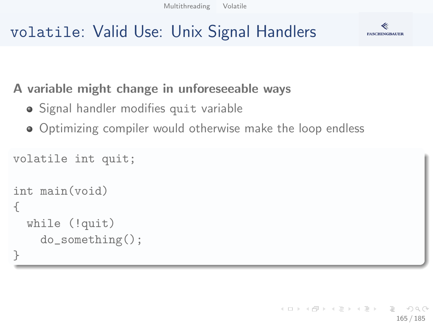# **FASCHINGBAUER**



### A variable might change in unforeseeable ways

- Signal handler modifies quit variable
- Optimizing compiler would otherwise make the loop endless

```
volatile int quit;
int main(void)
{
  while (!quit)
    do_something();
}
```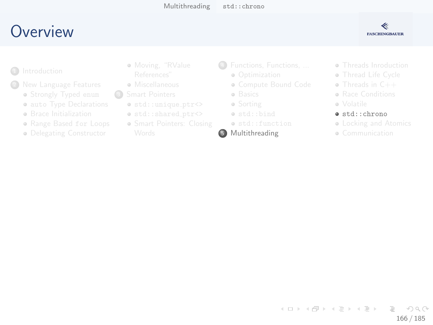# <span id="page-165-0"></span>**O[verview](#page-2-0)**



- **1** Introduction
	- - **•** Str[ongly Typed](#page-14-0) enum
		- **auto Type Declarations**
		- **a** Br[ace Initialization](#page-24-0)
		- Range Based for Loops
		- **·** De[legating Constructor](#page-29-0)
- [Moving](#page-6-0), "RValue
- **A** Miscellaneous
- <sup>3</sup> Smart Pointers
	- std::unique ptr<>
	- $\bullet$  std::shared\_ptr<>
	- **Smart Pointers[: Closing](#page-67-0)**
- <sup>4</sup> [Functions, Funct](#page-49-0)ions, ...
	- Optimization
	- [Compute Bound Code](#page-52-0)
	- **·** [Basics](#page-61-0)
	- Sorting
	- [std::bind](#page-67-0)
	- std::function
- 5 Multithreading
- **Threads Inro[duction](#page-93-0)**
- **a** Thread Life [Cycle](#page-111-0)
- Threads in C++
- **Bace Conditi[ons](#page-114-0)**
- Volatile
- $\bullet$  std::chr[o](#page-130-0)no
- **Locking a[nd Atomics](#page-138-0)**
- **Communication**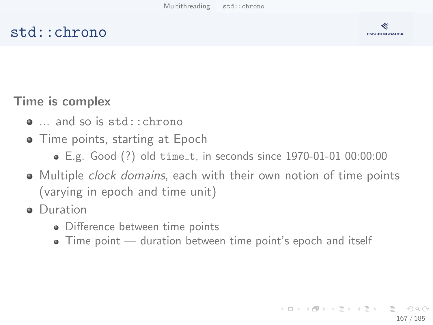## std::chrono



Time is complex

- ... and so is std::chrono
- **•** Time points, starting at Epoch
	- E.g. Good (?) old time\_t, in seconds since 1970-01-01 00:00:00
- Multiple clock domains, each with their own notion of time points (varying in epoch and time unit)
- **•** Duration
	- Difference between time points
	- Time point duration between time point's epoch and itself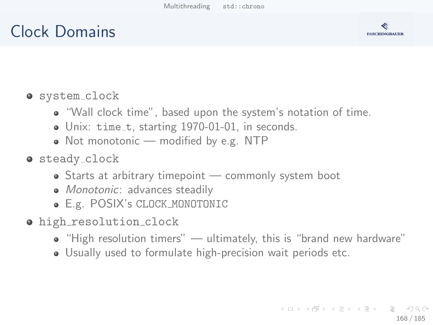# Clock Domains



### o system\_clock

- "Wall clock time", based upon the system's notation of time.
- Unix: time\_t, starting 1970-01-01, in seconds.
- Not monotonic modified by e.g. NTP
- **o** steady\_clock
	- Starts at arbitrary timepoint commonly system boot
	- Monotonic: advances steadily
	- E.g. POSIX's CLOCK MONOTONIC
- o high resolution clock
	- "High resolution timers" ultimately, this is "brand new hardware"
	- Usually used to formulate high-precision wait periods etc.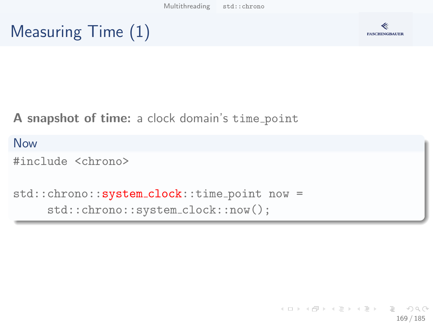# Measuring Time (1)



A snapshot of time: a clock domain's time point

Now #include <chrono> std::chrono::system\_clock::time\_point now = std::chrono::system clock::now();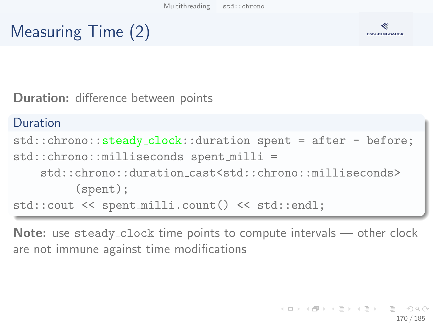



Duration: difference between points

```
Duration
std::chrono::steady clock::duration spent = after - before;
std::chrono::milliseconds spent milli =
    std::chrono::duration cast<std::chrono::milliseconds>
         (spent);
std::cout << spent milli.count() << std::endl;
```
Note: use steady\_clock time points to compute intervals — other clock are not immune against time modifications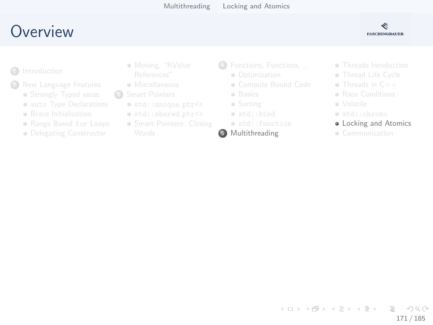# <span id="page-170-0"></span>**O[verview](#page-2-0)**



- **1** Introduction
	- - **•** Str[ongly Typed](#page-14-0) enum
		- **auto Type Declarations**
		- **a** Br[ace Initialization](#page-24-0)
		- Range Based for Loops
		- **·** De[legating Constructor](#page-29-0)
- [Moving](#page-6-0), "RValue
- **A** Miscellaneous
- <sup>3</sup> Smart Pointers
	- $\bullet$  std::unique\_ptr<>
	- $\bullet$  std::shared\_ptr<>
	- **Smart Pointers[: Closing](#page-67-0)**
- <sup>4</sup> [Functions, Funct](#page-49-0)ions, ...
	- Optimization
	- [Compute Bound Code](#page-52-0)
	- **·** [Basics](#page-61-0)
	- Sorting
	- [std::bind](#page-67-0)
	- std::function
- 5 Multithreading
- **Threads Inro[duction](#page-93-0)**
- **a** Thread Life [Cycle](#page-111-0)
- Threads in C++
- **Bace Conditi[ons](#page-114-0)**
- Volatile
- std::chron[o](#page-130-0)
- **.** Locking a[nd Atomics](#page-138-0)
- **Communication**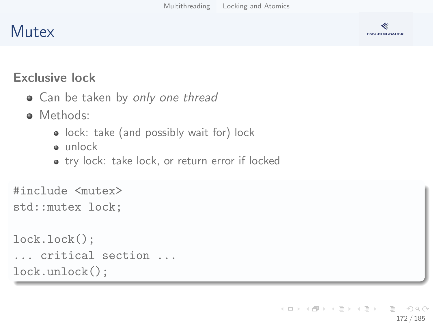# **Mutex**



### Exclusive lock

- Can be taken by only one thread
- Methods:
	- lock: take (and possibly wait for) lock
	- unlock
	- try lock: take lock, or return error if locked

```
#include <mutex>
std::mutex lock;
```

```
lock.lock();
... critical section ...
lock.unlock();
```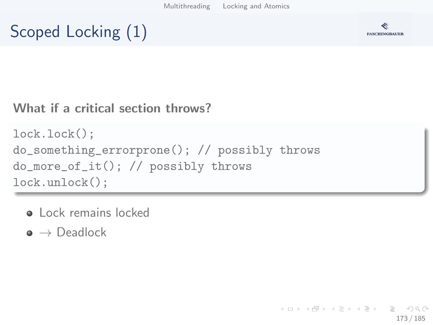# Scoped Locking (1)



### What if a critical section throws?

```
lock.lock();
do_something_errorprone(); // possibly throws
do_more_of_it(); // possibly throws
lock.unlock();
```
- **o** Lock remains locked
- $\bullet \rightarrow$  Deadlock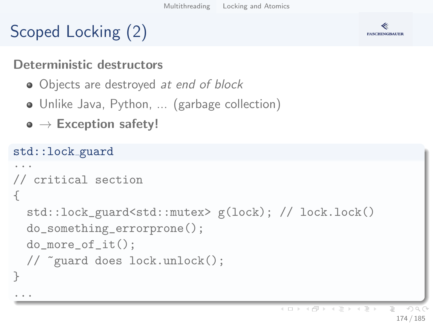# Scoped Locking (2)



### Deterministic destructors

- Objects are destroyed at end of block
- Unlike Java, Python, ... (garbage collection)
- $\bullet \to$  Exception safety!

```
std::lock guard
...
// critical section
{
  std::lock_guard<std::mutex> g(lock); // lock.lock()
  do_something_errorprone();
  do_more_of_it();
  // ~guard does lock.unlock();
}
...
```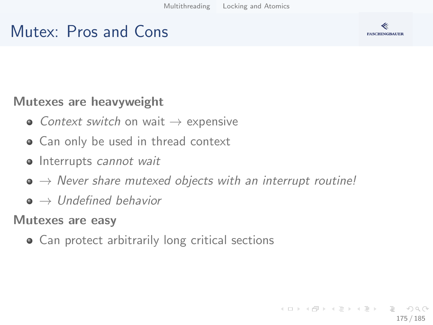# Mutex: Pros and Cons



### Mutexes are heavyweight

- Context switch on wait  $\rightarrow$  expensive
- Can only be used in thread context
- Interrupts cannot wait
- $\bullet \rightarrow$  Never share mutexed objects with an interrupt routine!
- $\bullet \rightarrow$  Undefined behavior

### Mutexes are easy

Can protect arbitrarily long critical sections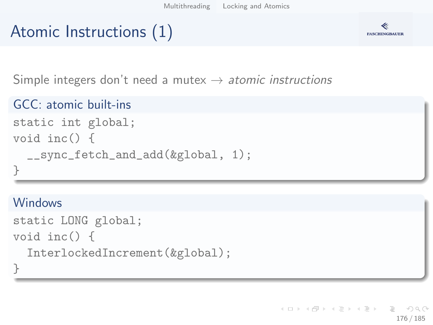# Atomic Instructions (1)



Simple integers don't need a mutex  $\rightarrow$  atomic instructions

```
GCC: atomic built-ins
```

```
static int global;
void inc() {
  __sync_fetch_and_add(&global, 1);
}
```
### **Windows**

```
static LONG global;
void inc() {
  InterlockedIncrement(&global);
}
```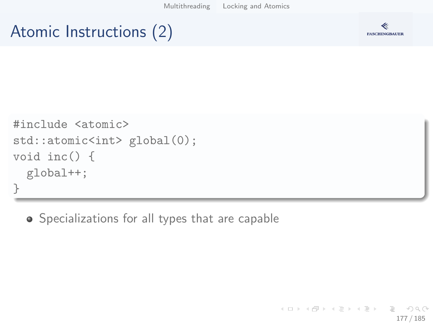[Multithreading](#page-138-0) [Locking and Atomics](#page-170-0)

# Atomic Instructions (2)



```
#include <atomic>
std::atomic<int> global(0);
void inc() {
  global++;
}
```
Specializations for all types that are capable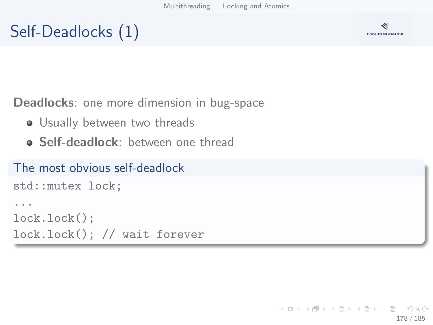# Self-Deadlocks (1)



Deadlocks: one more dimension in bug-space

- **•** Usually between two threads
- **Self-deadlock**: between one thread

### The most obvious self-deadlock

```
std::mutex lock;
...
lock.lock();
lock.lock(); // wait forever
```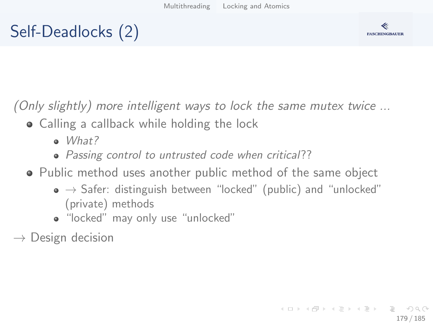# Self-Deadlocks (2)



(Only slightly) more intelligent ways to lock the same mutex twice ...

- Calling a callback while holding the lock
	- $\bullet$  *What?*
	- Passing control to untrusted code when critical??
- Public method uses another public method of the same object
	- $\bullet \rightarrow$  Safer: distinguish between "locked" (public) and "unlocked" (private) methods
	- "locked" may only use "unlocked"

 $\rightarrow$  Design decision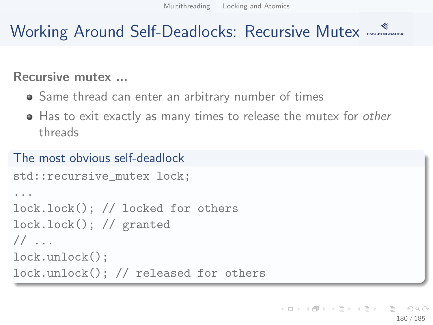# Working Around Self-Deadlocks: Recursive Mutex

### Recursive mutex ...

- Same thread can enter an arbitrary number of times
- Has to exit exactly as many times to release the mutex for other threads

### The most obvious self-deadlock

```
std::recursive_mutex lock;
...
lock.lock(); // locked for others
lock.lock(); // granted
// ...
lock.unlock();
lock.unlock(); // released for others
```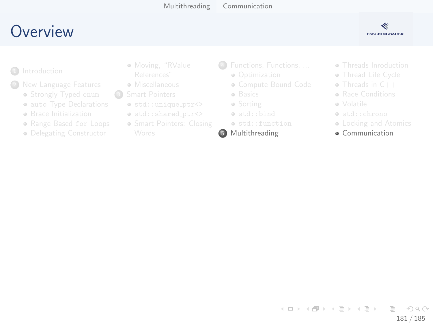# <span id="page-180-0"></span>Overview



- 
- - · Strongly Typed enum
	- · auto Type Declarations
	- **e** Brace Initialization
	- · Range Based for Loops
	- · Delegating Constructor
- · Moving, "RValue
- e Miscellaneous
- $\circ$ 
	- $\bullet$  std::unique\_ptr<>
	- o std::shared\_ptr<>
	- · Smart Pointers: Closing
- 4 Functions, Functions, ...
	- a Ontimization
	- · Compute Bound Code
	- · Basics
	- · Sorting
	- · std::bind
	- · std::function
- 5 Multithreading
- · Threads Inroduction
- · Thread Life Cycle
- $\bullet$  Threads in  $C++$
- **a** Race Conditions
- e Volatile
- · std::chrono
- Locking and Atomics
- **a** Communication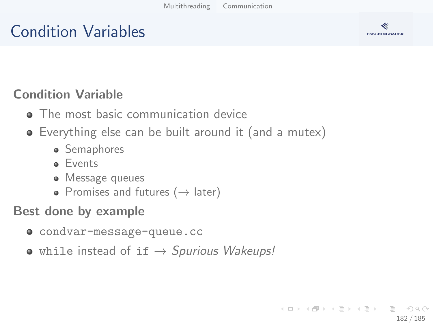# Condition Variables



### Condition Variable

- The most basic communication device
- Everything else can be built around it (and a mutex)
	- Semaphores
	- **•** Events
	- Message queues
	- Promises and futures ( $\rightarrow$  later)

#### Best done by example

- condvar-message-queue.cc
- while instead of if  $\rightarrow$  Spurious Wakeups!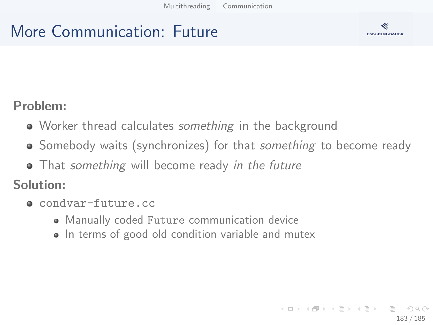# More Communication: Future



#### Problem:

- Worker thread calculates something in the background
- Somebody waits (synchronizes) for that *something* to become ready
- That something will become ready in the future

Solution:

- **e** condvar-future.cc
	- Manually coded Future communication device
	- In terms of good old condition variable and mutex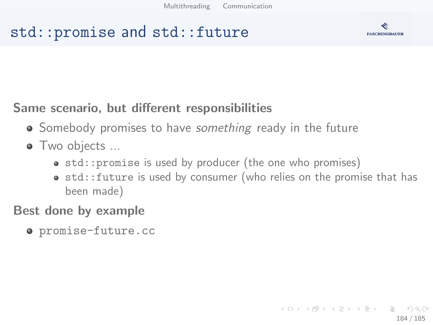## std::promise and std::future



### Same scenario, but different responsibilities

- Somebody promises to have *something* ready in the future
- Two objects ...
	- std:: promise is used by producer (the one who promises)
	- std::future is used by consumer (who relies on the promise that has been made)

#### Best done by example

promise-future.cc